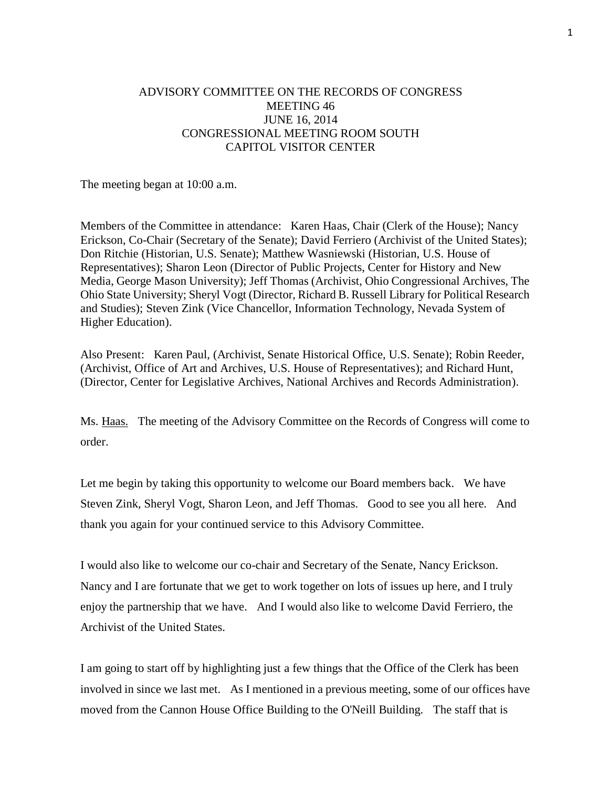## ADVISORY COMMITTEE ON THE RECORDS OF CONGRESS MEETING 46 JUNE 16, 2014 CONGRESSIONAL MEETING ROOM SOUTH CAPITOL VISITOR CENTER

The meeting began at 10:00 a.m.

Members of the Committee in attendance: Karen Haas, Chair (Clerk of the House); Nancy Erickson, Co-Chair (Secretary of the Senate); David Ferriero (Archivist of the United States); Don Ritchie (Historian, U.S. Senate); Matthew Wasniewski (Historian, U.S. House of Representatives); Sharon Leon (Director of Public Projects, Center for History and New Media, George Mason University); Jeff Thomas (Archivist, Ohio Congressional Archives, The Ohio State University; Sheryl Vogt (Director, Richard B. Russell Library for Political Research and Studies); Steven Zink (Vice Chancellor, Information Technology, Nevada System of Higher Education).

Also Present: Karen Paul, (Archivist, Senate Historical Office, U.S. Senate); Robin Reeder, (Archivist, Office of Art and Archives, U.S. House of Representatives); and Richard Hunt, (Director, Center for Legislative Archives, National Archives and Records Administration).

Ms. Haas. The meeting of the Advisory Committee on the Records of Congress will come to order.

Let me begin by taking this opportunity to welcome our Board members back. We have Steven Zink, Sheryl Vogt, Sharon Leon, and Jeff Thomas. Good to see you all here. And thank you again for your continued service to this Advisory Committee.

I would also like to welcome our co-chair and Secretary of the Senate, Nancy Erickson. Nancy and I are fortunate that we get to work together on lots of issues up here, and I truly enjoy the partnership that we have. And I would also like to welcome David Ferriero, the Archivist of the United States.

I am going to start off by highlighting just a few things that the Office of the Clerk has been involved in since we last met. As I mentioned in a previous meeting, some of our offices have moved from the Cannon House Office Building to the O'Neill Building. The staff that is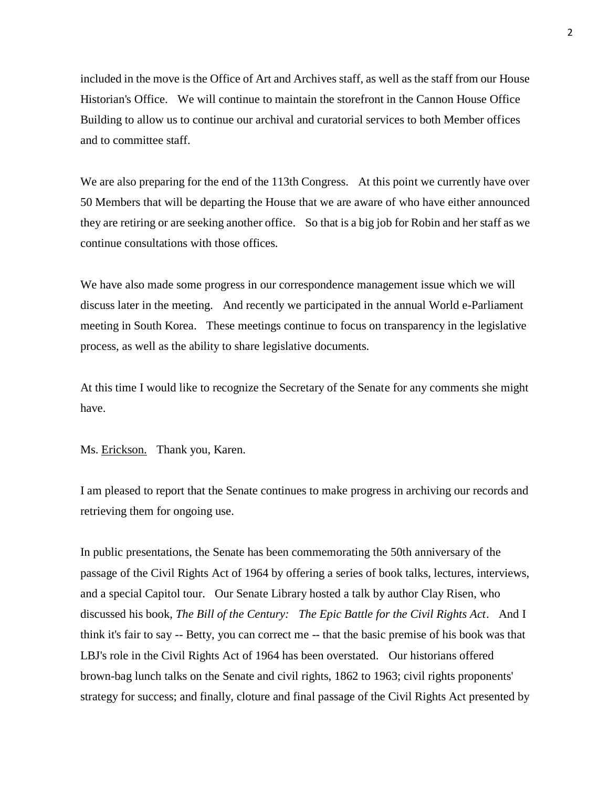included in the move is the Office of Art and Archives staff, as well as the staff from our House Historian's Office. We will continue to maintain the storefront in the Cannon House Office Building to allow us to continue our archival and curatorial services to both Member offices and to committee staff.

We are also preparing for the end of the 113th Congress. At this point we currently have over 50 Members that will be departing the House that we are aware of who have either announced they are retiring or are seeking another office. So that is a big job for Robin and her staff as we continue consultations with those offices.

We have also made some progress in our correspondence management issue which we will discuss later in the meeting. And recently we participated in the annual World e-Parliament meeting in South Korea. These meetings continue to focus on transparency in the legislative process, as well as the ability to share legislative documents.

At this time I would like to recognize the Secretary of the Senate for any comments she might have.

Ms. Erickson. Thank you, Karen.

I am pleased to report that the Senate continues to make progress in archiving our records and retrieving them for ongoing use.

In public presentations, the Senate has been commemorating the 50th anniversary of the passage of the Civil Rights Act of 1964 by offering a series of book talks, lectures, interviews, and a special Capitol tour. Our Senate Library hosted a talk by author Clay Risen, who discussed his book, *The Bill of the Century: The Epic Battle for the Civil Rights Act*. And I think it's fair to say -- Betty, you can correct me -- that the basic premise of his book was that LBJ's role in the Civil Rights Act of 1964 has been overstated. Our historians offered brown-bag lunch talks on the Senate and civil rights, 1862 to 1963; civil rights proponents' strategy for success; and finally, cloture and final passage of the Civil Rights Act presented by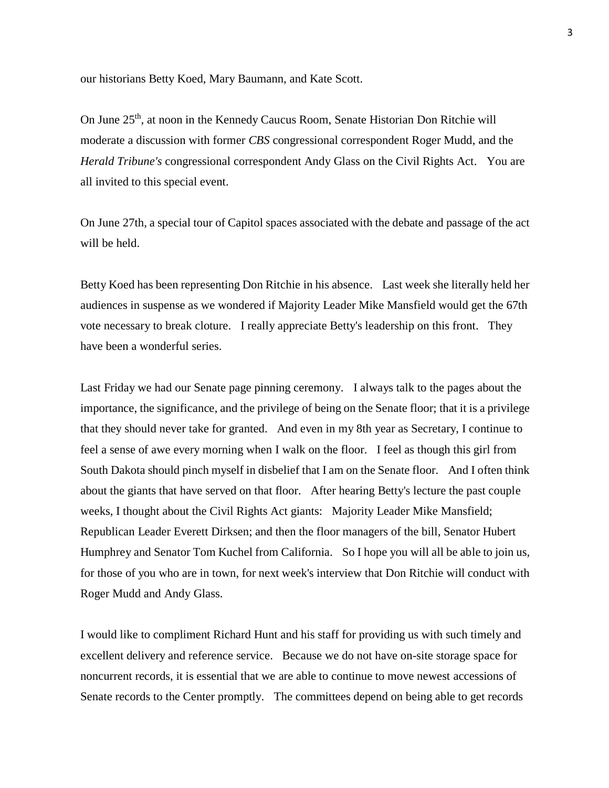our historians Betty Koed, Mary Baumann, and Kate Scott.

On June 25<sup>th</sup>, at noon in the Kennedy Caucus Room, Senate Historian Don Ritchie will moderate a discussion with former *CBS* congressional correspondent Roger Mudd, and the *Herald Tribune's* congressional correspondent Andy Glass on the Civil Rights Act. You are all invited to this special event.

On June 27th, a special tour of Capitol spaces associated with the debate and passage of the act will be held.

Betty Koed has been representing Don Ritchie in his absence. Last week she literally held her audiences in suspense as we wondered if Majority Leader Mike Mansfield would get the 67th vote necessary to break cloture. I really appreciate Betty's leadership on this front. They have been a wonderful series.

Last Friday we had our Senate page pinning ceremony. I always talk to the pages about the importance, the significance, and the privilege of being on the Senate floor; that it is a privilege that they should never take for granted. And even in my 8th year as Secretary, I continue to feel a sense of awe every morning when I walk on the floor. I feel as though this girl from South Dakota should pinch myself in disbelief that I am on the Senate floor. And I often think about the giants that have served on that floor. After hearing Betty's lecture the past couple weeks, I thought about the Civil Rights Act giants: Majority Leader Mike Mansfield; Republican Leader Everett Dirksen; and then the floor managers of the bill, Senator Hubert Humphrey and Senator Tom Kuchel from California. So I hope you will all be able to join us, for those of you who are in town, for next week's interview that Don Ritchie will conduct with Roger Mudd and Andy Glass.

I would like to compliment Richard Hunt and his staff for providing us with such timely and excellent delivery and reference service. Because we do not have on-site storage space for noncurrent records, it is essential that we are able to continue to move newest accessions of Senate records to the Center promptly. The committees depend on being able to get records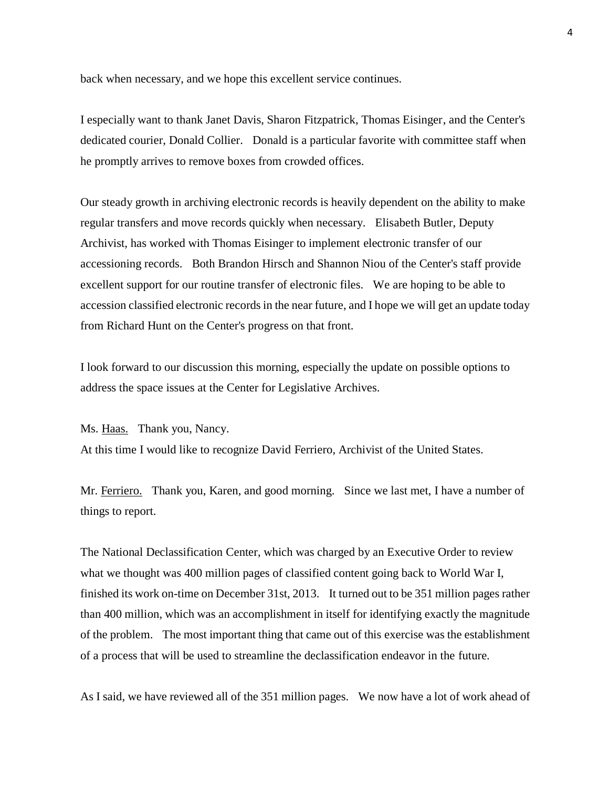back when necessary, and we hope this excellent service continues.

I especially want to thank Janet Davis, Sharon Fitzpatrick, Thomas Eisinger, and the Center's dedicated courier, Donald Collier. Donald is a particular favorite with committee staff when he promptly arrives to remove boxes from crowded offices.

Our steady growth in archiving electronic records is heavily dependent on the ability to make regular transfers and move records quickly when necessary. Elisabeth Butler, Deputy Archivist, has worked with Thomas Eisinger to implement electronic transfer of our accessioning records. Both Brandon Hirsch and Shannon Niou of the Center's staff provide excellent support for our routine transfer of electronic files. We are hoping to be able to accession classified electronic records in the near future, and I hope we will get an update today from Richard Hunt on the Center's progress on that front.

I look forward to our discussion this morning, especially the update on possible options to address the space issues at the Center for Legislative Archives.

Ms. Haas. Thank you, Nancy.

At this time I would like to recognize David Ferriero, Archivist of the United States.

Mr. Ferriero. Thank you, Karen, and good morning. Since we last met, I have a number of things to report.

The National Declassification Center, which was charged by an Executive Order to review what we thought was 400 million pages of classified content going back to World War I, finished its work on-time on December 31st, 2013. It turned out to be 351 million pages rather than 400 million, which was an accomplishment in itself for identifying exactly the magnitude of the problem. The most important thing that came out of this exercise was the establishment of a process that will be used to streamline the declassification endeavor in the future.

As I said, we have reviewed all of the 351 million pages. We now have a lot of work ahead of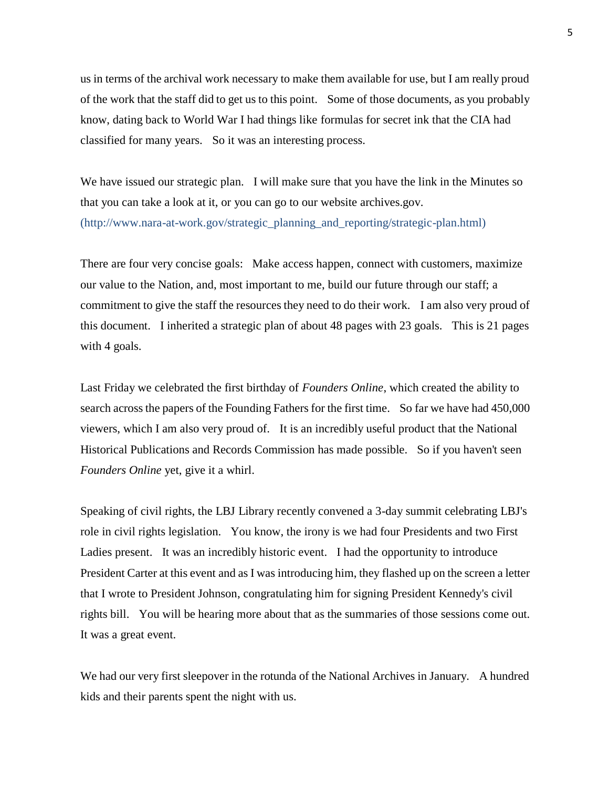us in terms of the archival work necessary to make them available for use, but I am really proud of the work that the staff did to get us to this point. Some of those documents, as you probably know, dating back to World War I had things like formulas for secret ink that the CIA had classified for many years. So it was an interesting process.

We have issued our strategic plan. I will make sure that you have the link in the Minutes so that you can take a look at it, or you can go to our website archives.gov. (http://www.nara-at-work.gov/strategic\_planning\_and\_reporting/strategic-plan.html)

There are four very concise goals: Make access happen, connect with customers, maximize our value to the Nation, and, most important to me, build our future through our staff; a commitment to give the staff the resources they need to do their work. I am also very proud of this document. I inherited a strategic plan of about 48 pages with 23 goals. This is 21 pages with 4 goals.

Last Friday we celebrated the first birthday of *Founders Online*, which created the ability to search across the papers of the Founding Fathers for the first time. So far we have had 450,000 viewers, which I am also very proud of. It is an incredibly useful product that the National Historical Publications and Records Commission has made possible. So if you haven't seen *Founders Online* yet, give it a whirl.

Speaking of civil rights, the LBJ Library recently convened a 3-day summit celebrating LBJ's role in civil rights legislation. You know, the irony is we had four Presidents and two First Ladies present. It was an incredibly historic event. I had the opportunity to introduce President Carter at this event and as I was introducing him, they flashed up on the screen a letter that I wrote to President Johnson, congratulating him for signing President Kennedy's civil rights bill. You will be hearing more about that as the summaries of those sessions come out. It was a great event.

We had our very first sleepover in the rotunda of the National Archives in January. A hundred kids and their parents spent the night with us.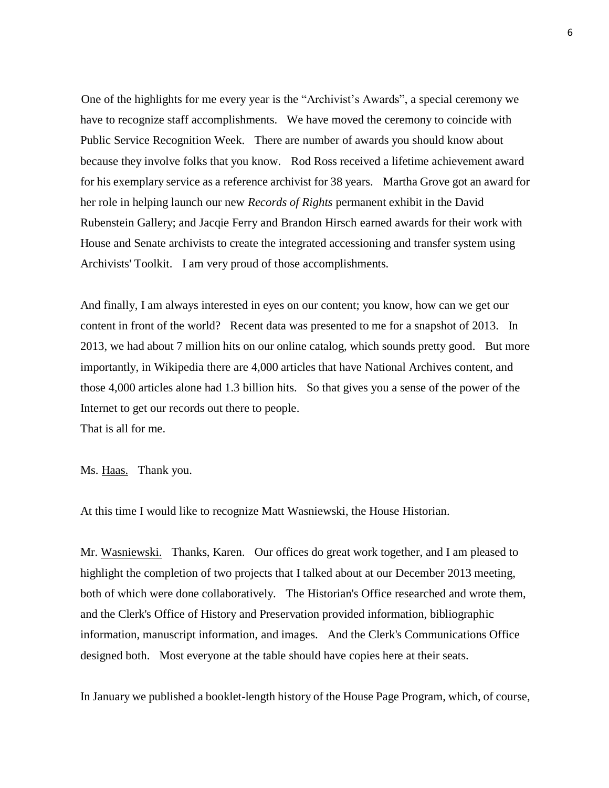One of the highlights for me every year is the "Archivist's Awards", a special ceremony we have to recognize staff accomplishments. We have moved the ceremony to coincide with Public Service Recognition Week. There are number of awards you should know about because they involve folks that you know. Rod Ross received a lifetime achievement award for his exemplary service as a reference archivist for 38 years. Martha Grove got an award for her role in helping launch our new *Records of Rights* permanent exhibit in the David Rubenstein Gallery; and Jacqie Ferry and Brandon Hirsch earned awards for their work with House and Senate archivists to create the integrated accessioning and transfer system using Archivists' Toolkit. I am very proud of those accomplishments.

And finally, I am always interested in eyes on our content; you know, how can we get our content in front of the world? Recent data was presented to me for a snapshot of 2013. In 2013, we had about 7 million hits on our online catalog, which sounds pretty good. But more importantly, in Wikipedia there are 4,000 articles that have National Archives content, and those 4,000 articles alone had 1.3 billion hits. So that gives you a sense of the power of the Internet to get our records out there to people. That is all for me.

Ms. Haas. Thank you.

At this time I would like to recognize Matt Wasniewski, the House Historian.

Mr. Wasniewski. Thanks, Karen. Our offices do great work together, and I am pleased to highlight the completion of two projects that I talked about at our December 2013 meeting, both of which were done collaboratively. The Historian's Office researched and wrote them, and the Clerk's Office of History and Preservation provided information, bibliographic information, manuscript information, and images. And the Clerk's Communications Office designed both. Most everyone at the table should have copies here at their seats.

In January we published a booklet-length history of the House Page Program, which, of course,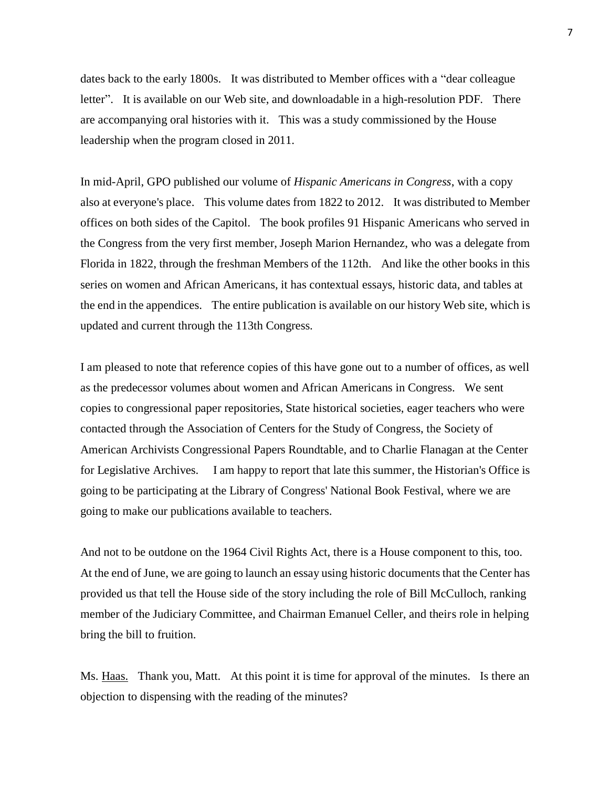dates back to the early 1800s. It was distributed to Member offices with a "dear colleague letter". It is available on our Web site, and downloadable in a high-resolution PDF. There are accompanying oral histories with it. This was a study commissioned by the House leadership when the program closed in 2011.

In mid-April, GPO published our volume of *Hispanic Americans in Congress*, with a copy also at everyone's place. This volume dates from 1822 to 2012. It was distributed to Member offices on both sides of the Capitol. The book profiles 91 Hispanic Americans who served in the Congress from the very first member, Joseph Marion Hernandez, who was a delegate from Florida in 1822, through the freshman Members of the 112th. And like the other books in this series on women and African Americans, it has contextual essays, historic data, and tables at the end in the appendices. The entire publication is available on our history Web site, which is updated and current through the 113th Congress.

I am pleased to note that reference copies of this have gone out to a number of offices, as well as the predecessor volumes about women and African Americans in Congress. We sent copies to congressional paper repositories, State historical societies, eager teachers who were contacted through the Association of Centers for the Study of Congress, the Society of American Archivists Congressional Papers Roundtable, and to Charlie Flanagan at the Center for Legislative Archives. I am happy to report that late this summer, the Historian's Office is going to be participating at the Library of Congress' National Book Festival, where we are going to make our publications available to teachers.

And not to be outdone on the 1964 Civil Rights Act, there is a House component to this, too. At the end of June, we are going to launch an essay using historic documents that the Center has provided us that tell the House side of the story including the role of Bill McCulloch, ranking member of the Judiciary Committee, and Chairman Emanuel Celler, and theirs role in helping bring the bill to fruition.

Ms. Haas. Thank you, Matt. At this point it is time for approval of the minutes. Is there an objection to dispensing with the reading of the minutes?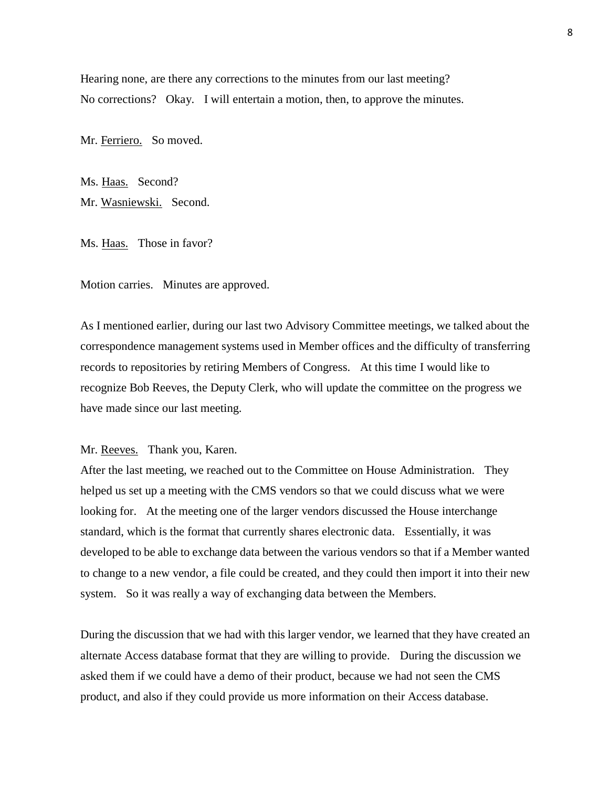Hearing none, are there any corrections to the minutes from our last meeting? No corrections? Okay. I will entertain a motion, then, to approve the minutes.

Mr. Ferriero. So moved.

Ms. Haas. Second? Mr. Wasniewski. Second.

Ms. Haas. Those in favor?

Motion carries. Minutes are approved.

As I mentioned earlier, during our last two Advisory Committee meetings, we talked about the correspondence management systems used in Member offices and the difficulty of transferring records to repositories by retiring Members of Congress. At this time I would like to recognize Bob Reeves, the Deputy Clerk, who will update the committee on the progress we have made since our last meeting.

Mr. Reeves. Thank you, Karen.

After the last meeting, we reached out to the Committee on House Administration. They helped us set up a meeting with the CMS vendors so that we could discuss what we were looking for. At the meeting one of the larger vendors discussed the House interchange standard, which is the format that currently shares electronic data. Essentially, it was developed to be able to exchange data between the various vendors so that if a Member wanted to change to a new vendor, a file could be created, and they could then import it into their new system. So it was really a way of exchanging data between the Members.

During the discussion that we had with this larger vendor, we learned that they have created an alternate Access database format that they are willing to provide. During the discussion we asked them if we could have a demo of their product, because we had not seen the CMS product, and also if they could provide us more information on their Access database.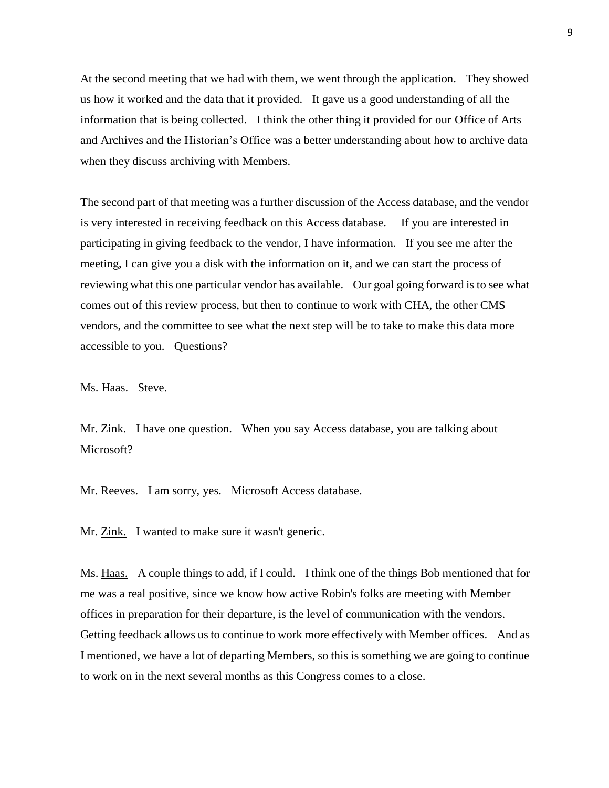At the second meeting that we had with them, we went through the application. They showed us how it worked and the data that it provided. It gave us a good understanding of all the information that is being collected. I think the other thing it provided for our Office of Arts and Archives and the Historian's Office was a better understanding about how to archive data when they discuss archiving with Members.

The second part of that meeting was a further discussion of the Access database, and the vendor is very interested in receiving feedback on this Access database. If you are interested in participating in giving feedback to the vendor, I have information. If you see me after the meeting, I can give you a disk with the information on it, and we can start the process of reviewing what this one particular vendor has available. Our goal going forward is to see what comes out of this review process, but then to continue to work with CHA, the other CMS vendors, and the committee to see what the next step will be to take to make this data more accessible to you. Questions?

Ms. Haas. Steve.

Mr. Zink. I have one question. When you say Access database, you are talking about Microsoft?

Mr. Reeves. I am sorry, yes. Microsoft Access database.

Mr. Zink. I wanted to make sure it wasn't generic.

Ms. Haas. A couple things to add, if I could. I think one of the things Bob mentioned that for me was a real positive, since we know how active Robin's folks are meeting with Member offices in preparation for their departure, is the level of communication with the vendors. Getting feedback allows us to continue to work more effectively with Member offices. And as I mentioned, we have a lot of departing Members, so this is something we are going to continue to work on in the next several months as this Congress comes to a close.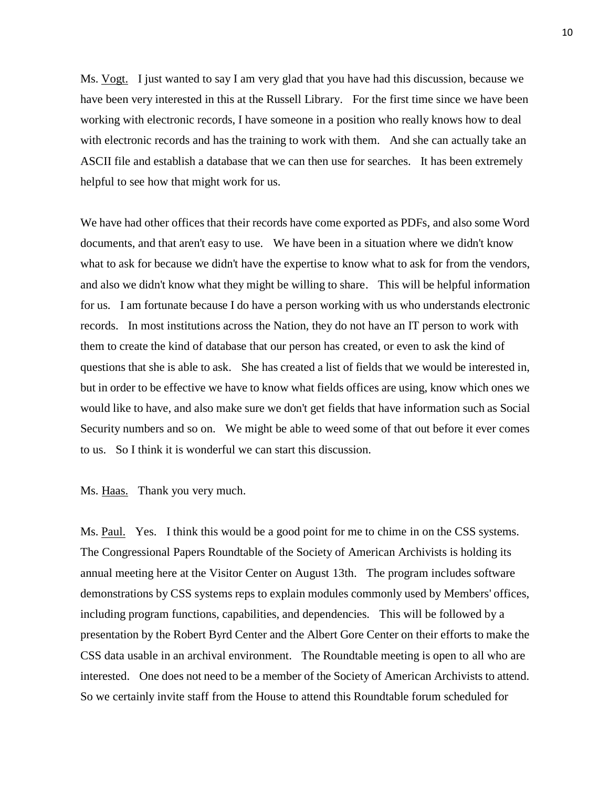Ms. Vogt. I just wanted to say I am very glad that you have had this discussion, because we have been very interested in this at the Russell Library. For the first time since we have been working with electronic records, I have someone in a position who really knows how to deal with electronic records and has the training to work with them. And she can actually take an ASCII file and establish a database that we can then use for searches. It has been extremely helpful to see how that might work for us.

We have had other offices that their records have come exported as PDFs, and also some Word documents, and that aren't easy to use. We have been in a situation where we didn't know what to ask for because we didn't have the expertise to know what to ask for from the vendors, and also we didn't know what they might be willing to share. This will be helpful information for us. I am fortunate because I do have a person working with us who understands electronic records. In most institutions across the Nation, they do not have an IT person to work with them to create the kind of database that our person has created, or even to ask the kind of questions that she is able to ask. She has created a list of fields that we would be interested in, but in order to be effective we have to know what fields offices are using, know which ones we would like to have, and also make sure we don't get fields that have information such as Social Security numbers and so on. We might be able to weed some of that out before it ever comes to us. So I think it is wonderful we can start this discussion.

Ms. Haas. Thank you very much.

Ms. Paul. Yes. I think this would be a good point for me to chime in on the CSS systems. The Congressional Papers Roundtable of the Society of American Archivists is holding its annual meeting here at the Visitor Center on August 13th. The program includes software demonstrations by CSS systems reps to explain modules commonly used by Members' offices, including program functions, capabilities, and dependencies. This will be followed by a presentation by the Robert Byrd Center and the Albert Gore Center on their efforts to make the CSS data usable in an archival environment. The Roundtable meeting is open to all who are interested. One does not need to be a member of the Society of American Archivists to attend. So we certainly invite staff from the House to attend this Roundtable forum scheduled for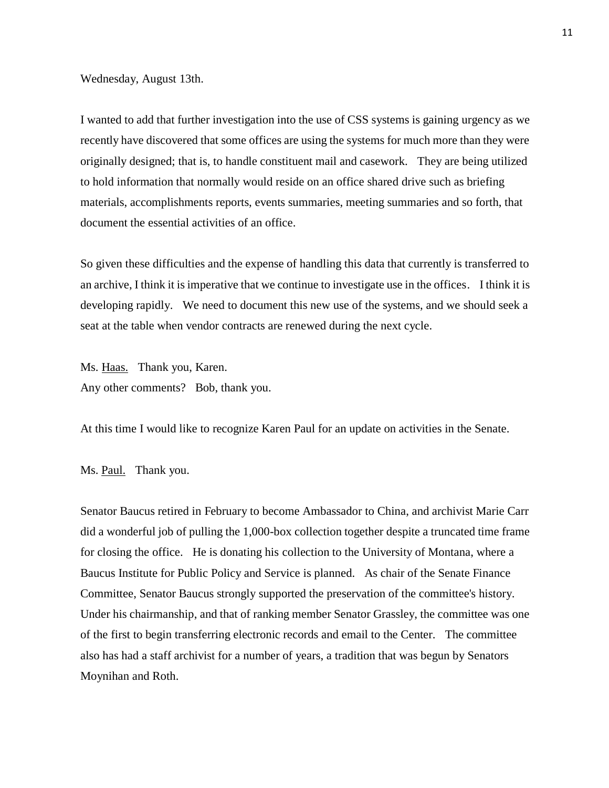Wednesday, August 13th.

I wanted to add that further investigation into the use of CSS systems is gaining urgency as we recently have discovered that some offices are using the systems for much more than they were originally designed; that is, to handle constituent mail and casework. They are being utilized to hold information that normally would reside on an office shared drive such as briefing materials, accomplishments reports, events summaries, meeting summaries and so forth, that document the essential activities of an office.

So given these difficulties and the expense of handling this data that currently is transferred to an archive, I think it is imperative that we continue to investigate use in the offices. I think it is developing rapidly. We need to document this new use of the systems, and we should seek a seat at the table when vendor contracts are renewed during the next cycle.

Ms. Haas. Thank you, Karen. Any other comments? Bob, thank you.

At this time I would like to recognize Karen Paul for an update on activities in the Senate.

Ms. Paul. Thank you.

Senator Baucus retired in February to become Ambassador to China, and archivist Marie Carr did a wonderful job of pulling the 1,000-box collection together despite a truncated time frame for closing the office. He is donating his collection to the University of Montana, where a Baucus Institute for Public Policy and Service is planned. As chair of the Senate Finance Committee, Senator Baucus strongly supported the preservation of the committee's history. Under his chairmanship, and that of ranking member Senator Grassley, the committee was one of the first to begin transferring electronic records and email to the Center. The committee also has had a staff archivist for a number of years, a tradition that was begun by Senators Moynihan and Roth.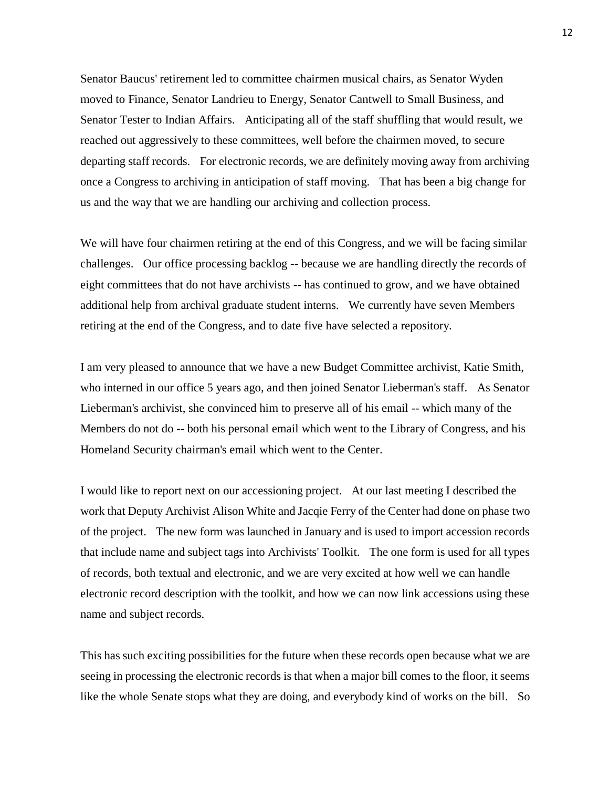Senator Baucus' retirement led to committee chairmen musical chairs, as Senator Wyden moved to Finance, Senator Landrieu to Energy, Senator Cantwell to Small Business, and Senator Tester to Indian Affairs. Anticipating all of the staff shuffling that would result, we reached out aggressively to these committees, well before the chairmen moved, to secure departing staff records. For electronic records, we are definitely moving away from archiving once a Congress to archiving in anticipation of staff moving. That has been a big change for us and the way that we are handling our archiving and collection process.

We will have four chairmen retiring at the end of this Congress, and we will be facing similar challenges. Our office processing backlog -- because we are handling directly the records of eight committees that do not have archivists -- has continued to grow, and we have obtained additional help from archival graduate student interns. We currently have seven Members retiring at the end of the Congress, and to date five have selected a repository.

I am very pleased to announce that we have a new Budget Committee archivist, Katie Smith, who interned in our office 5 years ago, and then joined Senator Lieberman's staff. As Senator Lieberman's archivist, she convinced him to preserve all of his email -- which many of the Members do not do -- both his personal email which went to the Library of Congress, and his Homeland Security chairman's email which went to the Center.

I would like to report next on our accessioning project. At our last meeting I described the work that Deputy Archivist Alison White and Jacqie Ferry of the Center had done on phase two of the project. The new form was launched in January and is used to import accession records that include name and subject tags into Archivists' Toolkit. The one form is used for all types of records, both textual and electronic, and we are very excited at how well we can handle electronic record description with the toolkit, and how we can now link accessions using these name and subject records.

This has such exciting possibilities for the future when these records open because what we are seeing in processing the electronic records is that when a major bill comes to the floor, it seems like the whole Senate stops what they are doing, and everybody kind of works on the bill. So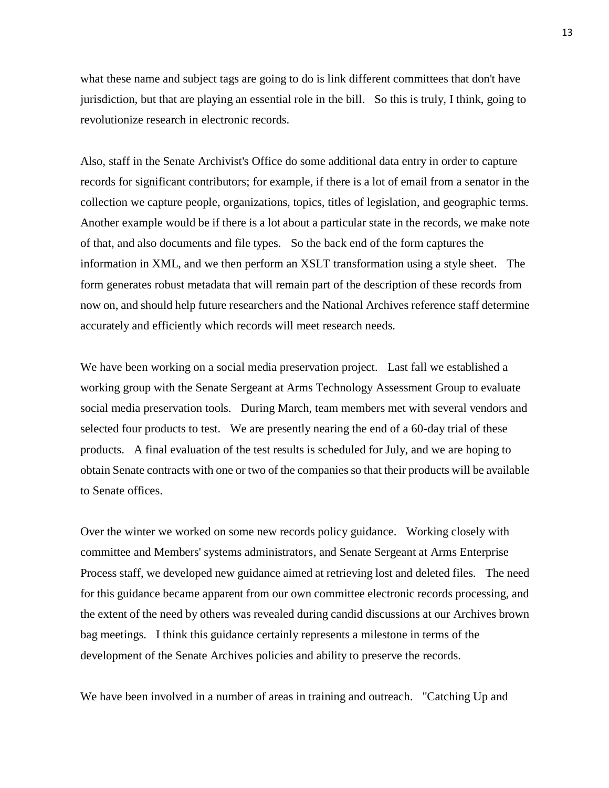what these name and subject tags are going to do is link different committees that don't have jurisdiction, but that are playing an essential role in the bill. So this is truly, I think, going to revolutionize research in electronic records.

Also, staff in the Senate Archivist's Office do some additional data entry in order to capture records for significant contributors; for example, if there is a lot of email from a senator in the collection we capture people, organizations, topics, titles of legislation, and geographic terms. Another example would be if there is a lot about a particular state in the records, we make note of that, and also documents and file types. So the back end of the form captures the information in XML, and we then perform an XSLT transformation using a style sheet. The form generates robust metadata that will remain part of the description of these records from now on, and should help future researchers and the National Archives reference staff determine accurately and efficiently which records will meet research needs.

We have been working on a social media preservation project. Last fall we established a working group with the Senate Sergeant at Arms Technology Assessment Group to evaluate social media preservation tools. During March, team members met with several vendors and selected four products to test. We are presently nearing the end of a 60-day trial of these products. A final evaluation of the test results is scheduled for July, and we are hoping to obtain Senate contracts with one or two of the companies so that their products will be available to Senate offices.

Over the winter we worked on some new records policy guidance. Working closely with committee and Members' systems administrators, and Senate Sergeant at Arms Enterprise Process staff, we developed new guidance aimed at retrieving lost and deleted files. The need for this guidance became apparent from our own committee electronic records processing, and the extent of the need by others was revealed during candid discussions at our Archives brown bag meetings. I think this guidance certainly represents a milestone in terms of the development of the Senate Archives policies and ability to preserve the records.

We have been involved in a number of areas in training and outreach. "Catching Up and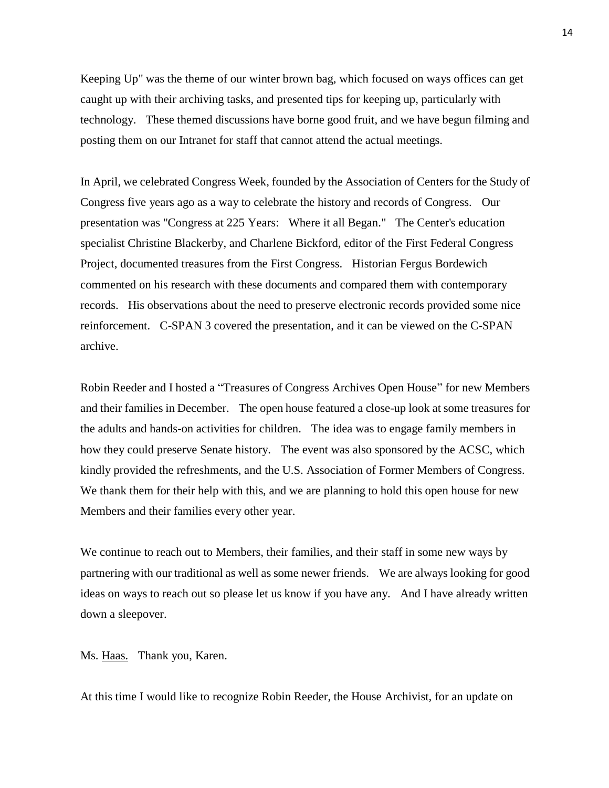Keeping Up" was the theme of our winter brown bag, which focused on ways offices can get caught up with their archiving tasks, and presented tips for keeping up, particularly with technology. These themed discussions have borne good fruit, and we have begun filming and posting them on our Intranet for staff that cannot attend the actual meetings.

In April, we celebrated Congress Week, founded by the Association of Centers for the Study of Congress five years ago as a way to celebrate the history and records of Congress. Our presentation was "Congress at 225 Years: Where it all Began." The Center's education specialist Christine Blackerby, and Charlene Bickford, editor of the First Federal Congress Project, documented treasures from the First Congress. Historian Fergus Bordewich commented on his research with these documents and compared them with contemporary records. His observations about the need to preserve electronic records provided some nice reinforcement. C-SPAN 3 covered the presentation, and it can be viewed on the C-SPAN archive.

Robin Reeder and I hosted a "Treasures of Congress Archives Open House" for new Members and their families in December. The open house featured a close-up look at some treasures for the adults and hands-on activities for children. The idea was to engage family members in how they could preserve Senate history. The event was also sponsored by the ACSC, which kindly provided the refreshments, and the U.S. Association of Former Members of Congress. We thank them for their help with this, and we are planning to hold this open house for new Members and their families every other year.

We continue to reach out to Members, their families, and their staff in some new ways by partnering with our traditional as well as some newer friends. We are always looking for good ideas on ways to reach out so please let us know if you have any. And I have already written down a sleepover.

Ms. Haas. Thank you, Karen.

At this time I would like to recognize Robin Reeder, the House Archivist, for an update on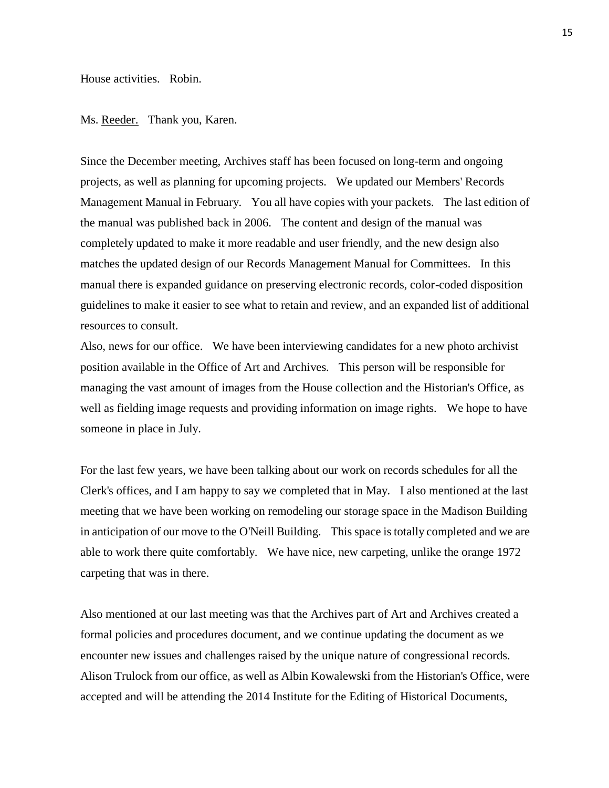House activities. Robin.

Ms. Reeder. Thank you, Karen.

Since the December meeting, Archives staff has been focused on long-term and ongoing projects, as well as planning for upcoming projects. We updated our Members' Records Management Manual in February. You all have copies with your packets. The last edition of the manual was published back in 2006. The content and design of the manual was completely updated to make it more readable and user friendly, and the new design also matches the updated design of our Records Management Manual for Committees. In this manual there is expanded guidance on preserving electronic records, color-coded disposition guidelines to make it easier to see what to retain and review, and an expanded list of additional resources to consult.

Also, news for our office. We have been interviewing candidates for a new photo archivist position available in the Office of Art and Archives. This person will be responsible for managing the vast amount of images from the House collection and the Historian's Office, as well as fielding image requests and providing information on image rights. We hope to have someone in place in July.

For the last few years, we have been talking about our work on records schedules for all the Clerk's offices, and I am happy to say we completed that in May. I also mentioned at the last meeting that we have been working on remodeling our storage space in the Madison Building in anticipation of our move to the O'Neill Building. This space is totally completed and we are able to work there quite comfortably. We have nice, new carpeting, unlike the orange 1972 carpeting that was in there.

Also mentioned at our last meeting was that the Archives part of Art and Archives created a formal policies and procedures document, and we continue updating the document as we encounter new issues and challenges raised by the unique nature of congressional records. Alison Trulock from our office, as well as Albin Kowalewski from the Historian's Office, were accepted and will be attending the 2014 Institute for the Editing of Historical Documents,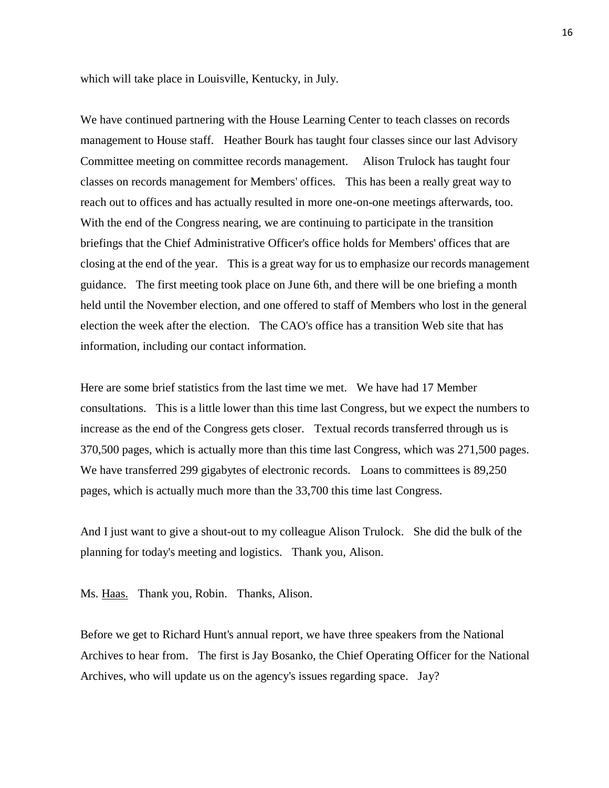which will take place in Louisville, Kentucky, in July.

We have continued partnering with the House Learning Center to teach classes on records management to House staff. Heather Bourk has taught four classes since our last Advisory Committee meeting on committee records management. Alison Trulock has taught four classes on records management for Members' offices. This has been a really great way to reach out to offices and has actually resulted in more one-on-one meetings afterwards, too. With the end of the Congress nearing, we are continuing to participate in the transition briefings that the Chief Administrative Officer's office holds for Members' offices that are closing at the end of the year. This is a great way for us to emphasize our records management guidance. The first meeting took place on June 6th, and there will be one briefing a month held until the November election, and one offered to staff of Members who lost in the general election the week after the election. The CAO's office has a transition Web site that has information, including our contact information.

Here are some brief statistics from the last time we met. We have had 17 Member consultations. This is a little lower than this time last Congress, but we expect the numbers to increase as the end of the Congress gets closer. Textual records transferred through us is 370,500 pages, which is actually more than this time last Congress, which was 271,500 pages. We have transferred 299 gigabytes of electronic records. Loans to committees is 89,250 pages, which is actually much more than the 33,700 this time last Congress.

And I just want to give a shout-out to my colleague Alison Trulock. She did the bulk of the planning for today's meeting and logistics. Thank you, Alison.

Ms. Haas. Thank you, Robin. Thanks, Alison.

Before we get to Richard Hunt's annual report, we have three speakers from the National Archives to hear from. The first is Jay Bosanko, the Chief Operating Officer for the National Archives, who will update us on the agency's issues regarding space. Jay?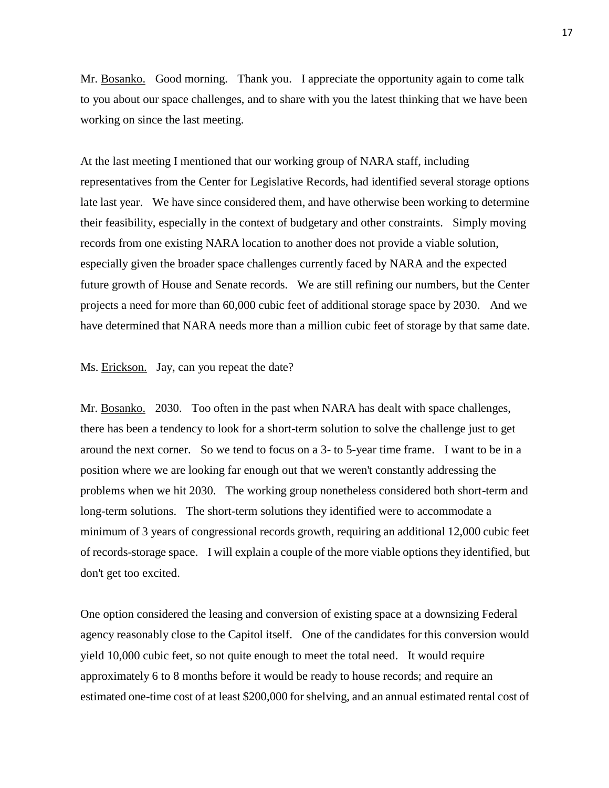Mr. Bosanko. Good morning. Thank you. I appreciate the opportunity again to come talk to you about our space challenges, and to share with you the latest thinking that we have been working on since the last meeting.

At the last meeting I mentioned that our working group of NARA staff, including representatives from the Center for Legislative Records, had identified several storage options late last year. We have since considered them, and have otherwise been working to determine their feasibility, especially in the context of budgetary and other constraints. Simply moving records from one existing NARA location to another does not provide a viable solution, especially given the broader space challenges currently faced by NARA and the expected future growth of House and Senate records. We are still refining our numbers, but the Center projects a need for more than 60,000 cubic feet of additional storage space by 2030. And we have determined that NARA needs more than a million cubic feet of storage by that same date.

## Ms. Erickson. Jay, can you repeat the date?

Mr. Bosanko. 2030. Too often in the past when NARA has dealt with space challenges, there has been a tendency to look for a short-term solution to solve the challenge just to get around the next corner. So we tend to focus on a 3- to 5-year time frame. I want to be in a position where we are looking far enough out that we weren't constantly addressing the problems when we hit 2030. The working group nonetheless considered both short-term and long-term solutions. The short-term solutions they identified were to accommodate a minimum of 3 years of congressional records growth, requiring an additional 12,000 cubic feet of records-storage space. I will explain a couple of the more viable options they identified, but don't get too excited.

One option considered the leasing and conversion of existing space at a downsizing Federal agency reasonably close to the Capitol itself. One of the candidates for this conversion would yield 10,000 cubic feet, so not quite enough to meet the total need. It would require approximately 6 to 8 months before it would be ready to house records; and require an estimated one-time cost of at least \$200,000 for shelving, and an annual estimated rental cost of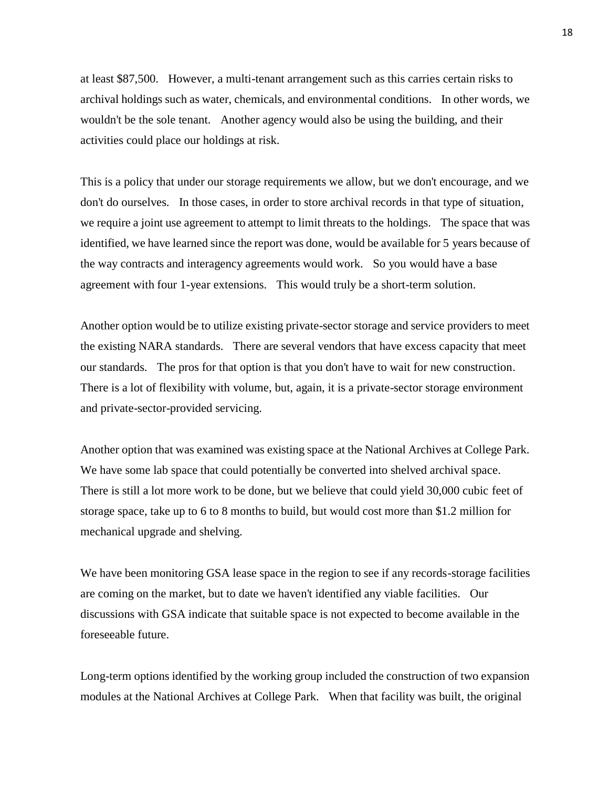at least \$87,500. However, a multi-tenant arrangement such as this carries certain risks to archival holdings such as water, chemicals, and environmental conditions. In other words, we wouldn't be the sole tenant. Another agency would also be using the building, and their activities could place our holdings at risk.

This is a policy that under our storage requirements we allow, but we don't encourage, and we don't do ourselves. In those cases, in order to store archival records in that type of situation, we require a joint use agreement to attempt to limit threats to the holdings. The space that was identified, we have learned since the report was done, would be available for 5 years because of the way contracts and interagency agreements would work. So you would have a base agreement with four 1-year extensions. This would truly be a short-term solution.

Another option would be to utilize existing private-sector storage and service providers to meet the existing NARA standards. There are several vendors that have excess capacity that meet our standards. The pros for that option is that you don't have to wait for new construction. There is a lot of flexibility with volume, but, again, it is a private-sector storage environment and private-sector-provided servicing.

Another option that was examined was existing space at the National Archives at College Park. We have some lab space that could potentially be converted into shelved archival space. There is still a lot more work to be done, but we believe that could yield 30,000 cubic feet of storage space, take up to 6 to 8 months to build, but would cost more than \$1.2 million for mechanical upgrade and shelving.

We have been monitoring GSA lease space in the region to see if any records-storage facilities are coming on the market, but to date we haven't identified any viable facilities. Our discussions with GSA indicate that suitable space is not expected to become available in the foreseeable future.

Long-term options identified by the working group included the construction of two expansion modules at the National Archives at College Park. When that facility was built, the original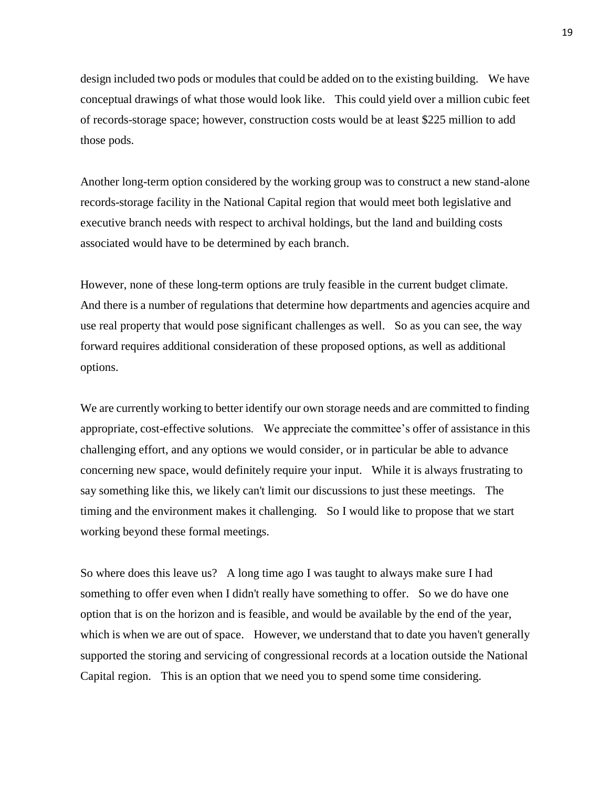design included two pods or modules that could be added on to the existing building. We have conceptual drawings of what those would look like. This could yield over a million cubic feet of records-storage space; however, construction costs would be at least \$225 million to add those pods.

Another long-term option considered by the working group was to construct a new stand-alone records-storage facility in the National Capital region that would meet both legislative and executive branch needs with respect to archival holdings, but the land and building costs associated would have to be determined by each branch.

However, none of these long-term options are truly feasible in the current budget climate. And there is a number of regulations that determine how departments and agencies acquire and use real property that would pose significant challenges as well. So as you can see, the way forward requires additional consideration of these proposed options, as well as additional options.

We are currently working to better identify our own storage needs and are committed to finding appropriate, cost-effective solutions. We appreciate the committee's offer of assistance in this challenging effort, and any options we would consider, or in particular be able to advance concerning new space, would definitely require your input. While it is always frustrating to say something like this, we likely can't limit our discussions to just these meetings. The timing and the environment makes it challenging. So I would like to propose that we start working beyond these formal meetings.

So where does this leave us? A long time ago I was taught to always make sure I had something to offer even when I didn't really have something to offer. So we do have one option that is on the horizon and is feasible, and would be available by the end of the year, which is when we are out of space. However, we understand that to date you haven't generally supported the storing and servicing of congressional records at a location outside the National Capital region. This is an option that we need you to spend some time considering.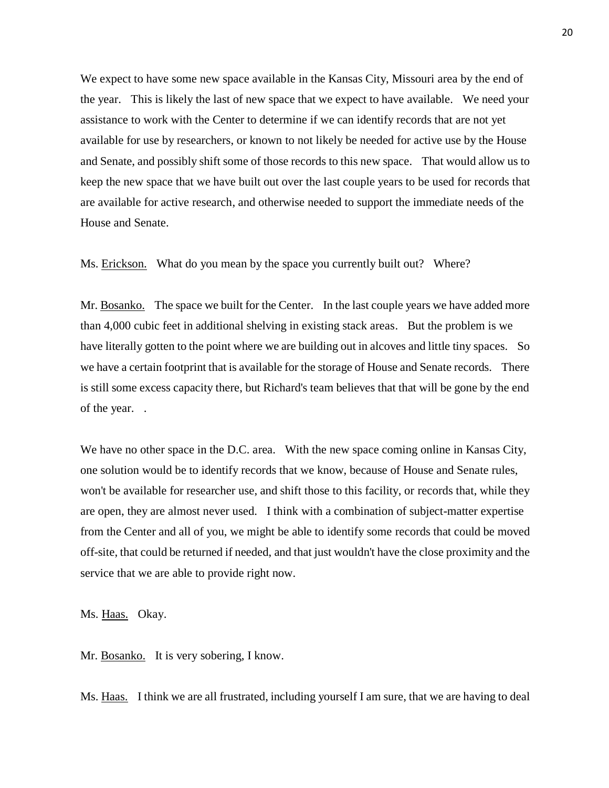We expect to have some new space available in the Kansas City, Missouri area by the end of the year. This is likely the last of new space that we expect to have available. We need your assistance to work with the Center to determine if we can identify records that are not yet available for use by researchers, or known to not likely be needed for active use by the House and Senate, and possibly shift some of those records to this new space. That would allow us to keep the new space that we have built out over the last couple years to be used for records that are available for active research, and otherwise needed to support the immediate needs of the House and Senate.

Ms. Erickson. What do you mean by the space you currently built out? Where?

Mr. Bosanko. The space we built for the Center. In the last couple years we have added more than 4,000 cubic feet in additional shelving in existing stack areas. But the problem is we have literally gotten to the point where we are building out in alcoves and little tiny spaces. So we have a certain footprint that is available for the storage of House and Senate records. There is still some excess capacity there, but Richard's team believes that that will be gone by the end of the year. .

We have no other space in the D.C. area. With the new space coming online in Kansas City, one solution would be to identify records that we know, because of House and Senate rules, won't be available for researcher use, and shift those to this facility, or records that, while they are open, they are almost never used. I think with a combination of subject-matter expertise from the Center and all of you, we might be able to identify some records that could be moved off-site, that could be returned if needed, and that just wouldn't have the close proximity and the service that we are able to provide right now.

Ms. Haas. Okay.

Mr. Bosanko. It is very sobering, I know.

Ms. Haas. I think we are all frustrated, including yourself I am sure, that we are having to deal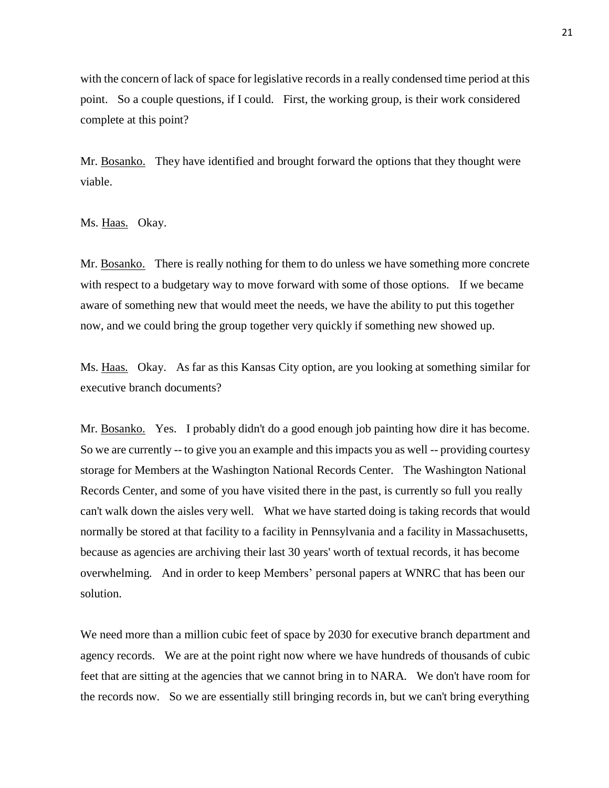with the concern of lack of space for legislative records in a really condensed time period at this point. So a couple questions, if I could. First, the working group, is their work considered complete at this point?

Mr. Bosanko. They have identified and brought forward the options that they thought were viable.

Ms. Haas. Okay.

Mr. Bosanko. There is really nothing for them to do unless we have something more concrete with respect to a budgetary way to move forward with some of those options. If we became aware of something new that would meet the needs, we have the ability to put this together now, and we could bring the group together very quickly if something new showed up.

Ms. Haas. Okay. As far as this Kansas City option, are you looking at something similar for executive branch documents?

Mr. Bosanko. Yes. I probably didn't do a good enough job painting how dire it has become. So we are currently -- to give you an example and this impacts you as well -- providing courtesy storage for Members at the Washington National Records Center. The Washington National Records Center, and some of you have visited there in the past, is currently so full you really can't walk down the aisles very well. What we have started doing is taking records that would normally be stored at that facility to a facility in Pennsylvania and a facility in Massachusetts, because as agencies are archiving their last 30 years' worth of textual records, it has become overwhelming. And in order to keep Members' personal papers at WNRC that has been our solution.

We need more than a million cubic feet of space by 2030 for executive branch department and agency records. We are at the point right now where we have hundreds of thousands of cubic feet that are sitting at the agencies that we cannot bring in to NARA. We don't have room for the records now. So we are essentially still bringing records in, but we can't bring everything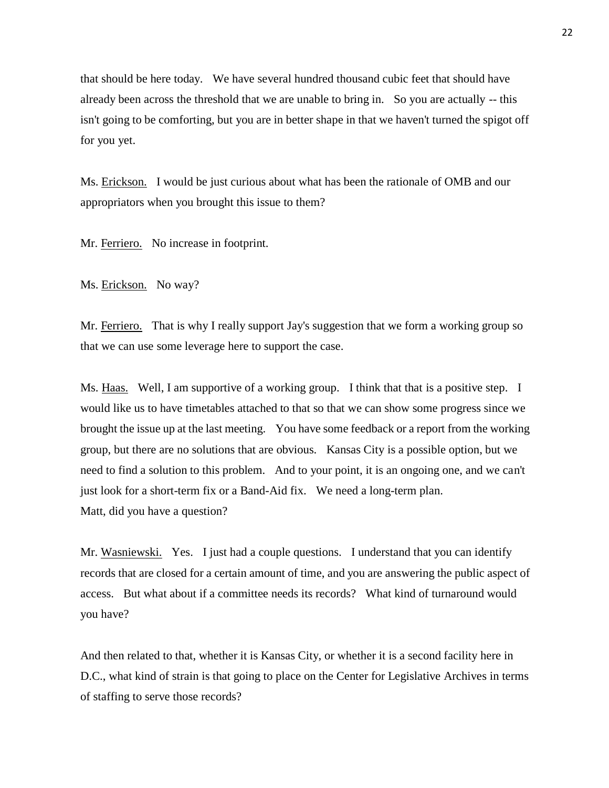that should be here today. We have several hundred thousand cubic feet that should have already been across the threshold that we are unable to bring in. So you are actually -- this isn't going to be comforting, but you are in better shape in that we haven't turned the spigot off for you yet.

Ms. Erickson. I would be just curious about what has been the rationale of OMB and our appropriators when you brought this issue to them?

Mr. Ferriero. No increase in footprint.

Ms. Erickson. No way?

Mr. Ferriero. That is why I really support Jay's suggestion that we form a working group so that we can use some leverage here to support the case.

Ms. Haas. Well, I am supportive of a working group. I think that that is a positive step. I would like us to have timetables attached to that so that we can show some progress since we brought the issue up at the last meeting. You have some feedback or a report from the working group, but there are no solutions that are obvious. Kansas City is a possible option, but we need to find a solution to this problem. And to your point, it is an ongoing one, and we can't just look for a short-term fix or a Band-Aid fix. We need a long-term plan. Matt, did you have a question?

Mr. Wasniewski. Yes. I just had a couple questions. I understand that you can identify records that are closed for a certain amount of time, and you are answering the public aspect of access. But what about if a committee needs its records? What kind of turnaround would you have?

And then related to that, whether it is Kansas City, or whether it is a second facility here in D.C., what kind of strain is that going to place on the Center for Legislative Archives in terms of staffing to serve those records?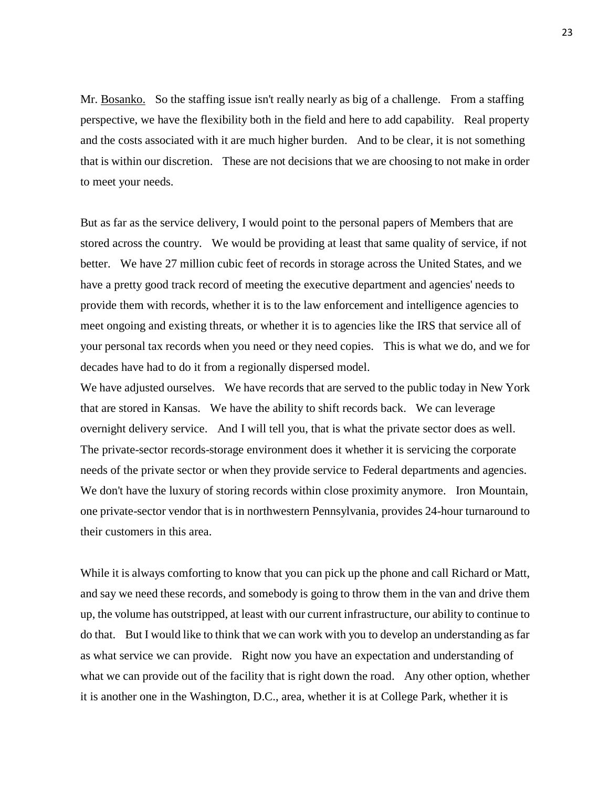Mr. Bosanko. So the staffing issue isn't really nearly as big of a challenge. From a staffing perspective, we have the flexibility both in the field and here to add capability. Real property and the costs associated with it are much higher burden. And to be clear, it is not something that is within our discretion. These are not decisions that we are choosing to not make in order to meet your needs.

But as far as the service delivery, I would point to the personal papers of Members that are stored across the country. We would be providing at least that same quality of service, if not better. We have 27 million cubic feet of records in storage across the United States, and we have a pretty good track record of meeting the executive department and agencies' needs to provide them with records, whether it is to the law enforcement and intelligence agencies to meet ongoing and existing threats, or whether it is to agencies like the IRS that service all of your personal tax records when you need or they need copies. This is what we do, and we for decades have had to do it from a regionally dispersed model.

We have adjusted ourselves. We have records that are served to the public today in New York that are stored in Kansas. We have the ability to shift records back. We can leverage overnight delivery service. And I will tell you, that is what the private sector does as well. The private-sector records-storage environment does it whether it is servicing the corporate needs of the private sector or when they provide service to Federal departments and agencies. We don't have the luxury of storing records within close proximity anymore. Iron Mountain, one private-sector vendor that is in northwestern Pennsylvania, provides 24-hour turnaround to their customers in this area.

While it is always comforting to know that you can pick up the phone and call Richard or Matt, and say we need these records, and somebody is going to throw them in the van and drive them up, the volume has outstripped, at least with our current infrastructure, our ability to continue to do that. But I would like to think that we can work with you to develop an understanding as far as what service we can provide. Right now you have an expectation and understanding of what we can provide out of the facility that is right down the road. Any other option, whether it is another one in the Washington, D.C., area, whether it is at College Park, whether it is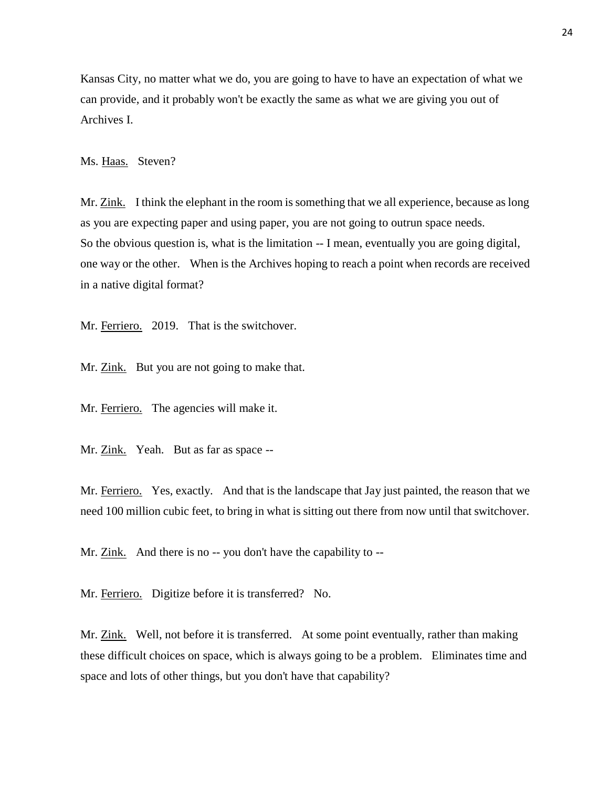Kansas City, no matter what we do, you are going to have to have an expectation of what we can provide, and it probably won't be exactly the same as what we are giving you out of Archives I.

Ms. Haas. Steven?

Mr. Zink. I think the elephant in the room is something that we all experience, because as long as you are expecting paper and using paper, you are not going to outrun space needs. So the obvious question is, what is the limitation -- I mean, eventually you are going digital, one way or the other. When is the Archives hoping to reach a point when records are received in a native digital format?

Mr. Ferriero. 2019. That is the switchover.

Mr. Zink. But you are not going to make that.

Mr. Ferriero. The agencies will make it.

Mr. Zink. Yeah. But as far as space --

Mr. Ferriero. Yes, exactly. And that is the landscape that Jay just painted, the reason that we need 100 million cubic feet, to bring in what is sitting out there from now until that switchover.

Mr. Zink. And there is no -- you don't have the capability to --

Mr. Ferriero. Digitize before it is transferred? No.

Mr. Zink. Well, not before it is transferred. At some point eventually, rather than making these difficult choices on space, which is always going to be a problem. Eliminates time and space and lots of other things, but you don't have that capability?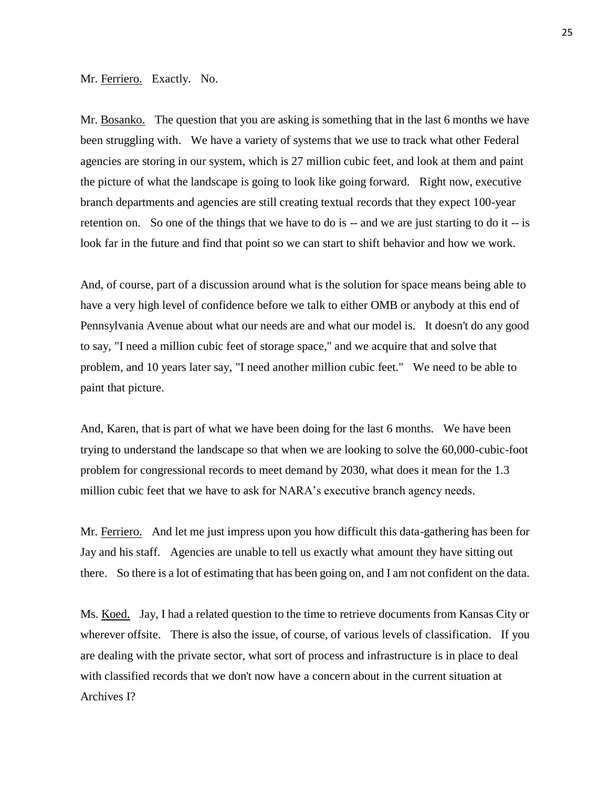## Mr. Ferriero. Exactly. No.

Mr. Bosanko. The question that you are asking is something that in the last 6 months we have been struggling with. We have a variety of systems that we use to track what other Federal agencies are storing in our system, which is 27 million cubic feet, and look at them and paint the picture of what the landscape is going to look like going forward. Right now, executive branch departments and agencies are still creating textual records that they expect 100-year retention on. So one of the things that we have to do is -- and we are just starting to do it -- is look far in the future and find that point so we can start to shift behavior and how we work.

And, of course, part of a discussion around what is the solution for space means being able to have a very high level of confidence before we talk to either OMB or anybody at this end of Pennsylvania Avenue about what our needs are and what our model is. It doesn't do any good to say, "I need a million cubic feet of storage space," and we acquire that and solve that problem, and 10 years later say, "I need another million cubic feet." We need to be able to paint that picture.

And, Karen, that is part of what we have been doing for the last 6 months. We have been trying to understand the landscape so that when we are looking to solve the 60,000-cubic-foot problem for congressional records to meet demand by 2030, what does it mean for the 1.3 million cubic feet that we have to ask for NARA's executive branch agency needs.

Mr. Ferriero. And let me just impress upon you how difficult this data-gathering has been for Jay and his staff. Agencies are unable to tell us exactly what amount they have sitting out there. So there is a lot of estimating that has been going on, and I am not confident on the data.

Ms. Koed. Jay, I had a related question to the time to retrieve documents from Kansas City or wherever offsite. There is also the issue, of course, of various levels of classification. If you are dealing with the private sector, what sort of process and infrastructure is in place to deal with classified records that we don't now have a concern about in the current situation at Archives I?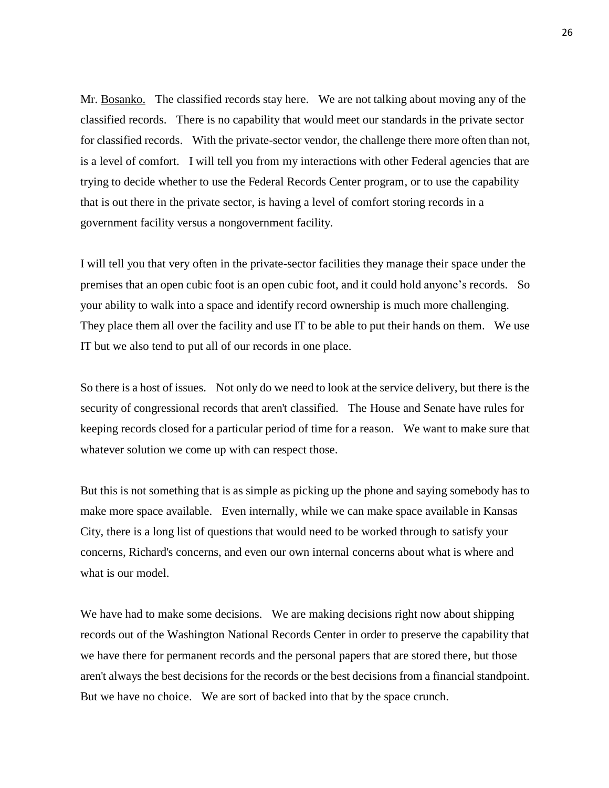Mr. Bosanko. The classified records stay here. We are not talking about moving any of the classified records. There is no capability that would meet our standards in the private sector for classified records. With the private-sector vendor, the challenge there more often than not, is a level of comfort. I will tell you from my interactions with other Federal agencies that are trying to decide whether to use the Federal Records Center program, or to use the capability that is out there in the private sector, is having a level of comfort storing records in a government facility versus a nongovernment facility.

I will tell you that very often in the private-sector facilities they manage their space under the premises that an open cubic foot is an open cubic foot, and it could hold anyone's records. So your ability to walk into a space and identify record ownership is much more challenging. They place them all over the facility and use IT to be able to put their hands on them. We use IT but we also tend to put all of our records in one place.

So there is a host of issues. Not only do we need to look at the service delivery, but there is the security of congressional records that aren't classified. The House and Senate have rules for keeping records closed for a particular period of time for a reason. We want to make sure that whatever solution we come up with can respect those.

But this is not something that is as simple as picking up the phone and saying somebody has to make more space available. Even internally, while we can make space available in Kansas City, there is a long list of questions that would need to be worked through to satisfy your concerns, Richard's concerns, and even our own internal concerns about what is where and what is our model.

We have had to make some decisions. We are making decisions right now about shipping records out of the Washington National Records Center in order to preserve the capability that we have there for permanent records and the personal papers that are stored there, but those aren't always the best decisions for the records or the best decisions from a financial standpoint. But we have no choice. We are sort of backed into that by the space crunch.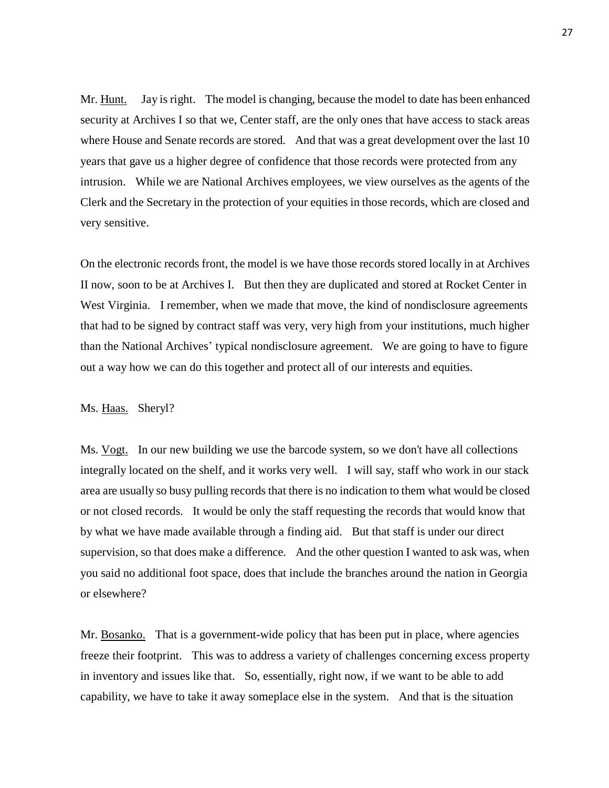Mr. Hunt. Jay is right. The model is changing, because the model to date has been enhanced security at Archives I so that we, Center staff, are the only ones that have access to stack areas where House and Senate records are stored. And that was a great development over the last 10 years that gave us a higher degree of confidence that those records were protected from any intrusion. While we are National Archives employees, we view ourselves as the agents of the Clerk and the Secretary in the protection of your equities in those records, which are closed and very sensitive.

On the electronic records front, the model is we have those records stored locally in at Archives II now, soon to be at Archives I. But then they are duplicated and stored at Rocket Center in West Virginia. I remember, when we made that move, the kind of nondisclosure agreements that had to be signed by contract staff was very, very high from your institutions, much higher than the National Archives' typical nondisclosure agreement. We are going to have to figure out a way how we can do this together and protect all of our interests and equities.

## Ms. Haas. Sheryl?

Ms. Vogt. In our new building we use the barcode system, so we don't have all collections integrally located on the shelf, and it works very well. I will say, staff who work in our stack area are usually so busy pulling records that there is no indication to them what would be closed or not closed records. It would be only the staff requesting the records that would know that by what we have made available through a finding aid. But that staff is under our direct supervision, so that does make a difference. And the other question I wanted to ask was, when you said no additional foot space, does that include the branches around the nation in Georgia or elsewhere?

Mr. Bosanko. That is a government-wide policy that has been put in place, where agencies freeze their footprint. This was to address a variety of challenges concerning excess property in inventory and issues like that. So, essentially, right now, if we want to be able to add capability, we have to take it away someplace else in the system. And that is the situation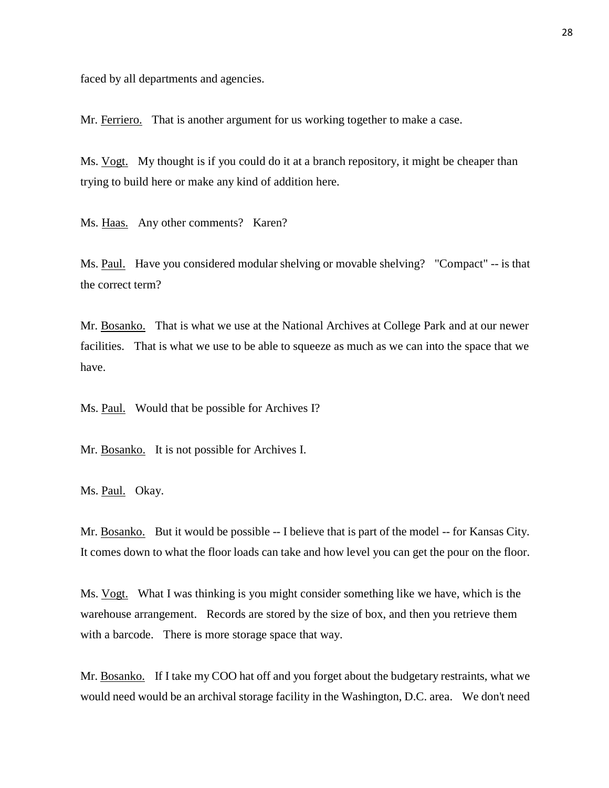faced by all departments and agencies.

Mr. Ferriero. That is another argument for us working together to make a case.

Ms. Vogt. My thought is if you could do it at a branch repository, it might be cheaper than trying to build here or make any kind of addition here.

Ms. Haas. Any other comments? Karen?

Ms. Paul. Have you considered modular shelving or movable shelving? "Compact" -- is that the correct term?

Mr. Bosanko. That is what we use at the National Archives at College Park and at our newer facilities. That is what we use to be able to squeeze as much as we can into the space that we have.

Ms. Paul. Would that be possible for Archives I?

Mr. Bosanko. It is not possible for Archives I.

Ms. Paul. Okay.

Mr. Bosanko. But it would be possible -- I believe that is part of the model -- for Kansas City. It comes down to what the floor loads can take and how level you can get the pour on the floor.

Ms. Vogt. What I was thinking is you might consider something like we have, which is the warehouse arrangement. Records are stored by the size of box, and then you retrieve them with a barcode. There is more storage space that way.

Mr. Bosanko. If I take my COO hat off and you forget about the budgetary restraints, what we would need would be an archival storage facility in the Washington, D.C. area. We don't need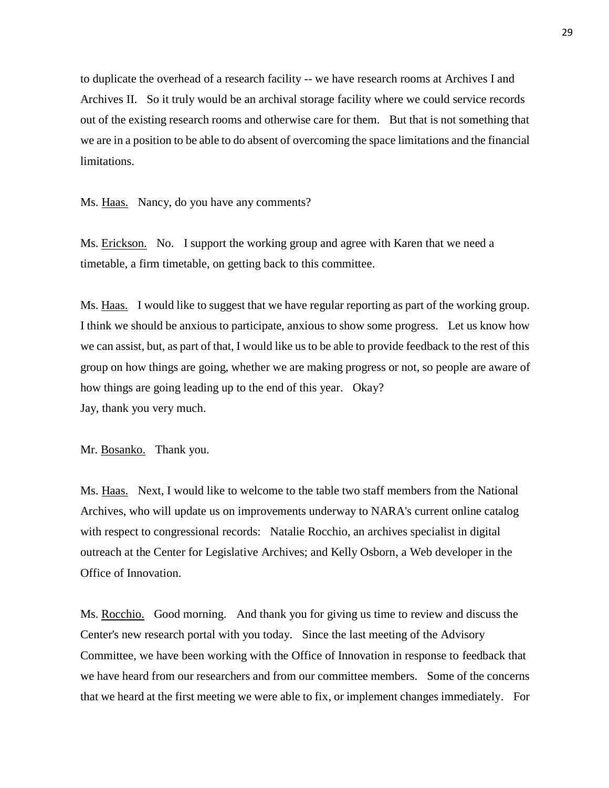to duplicate the overhead of a research facility -- we have research rooms at Archives I and Archives II. So it truly would be an archival storage facility where we could service records out of the existing research rooms and otherwise care for them. But that is not something that we are in a position to be able to do absent of overcoming the space limitations and the financial limitations.

Ms. Haas. Nancy, do you have any comments?

Ms. Erickson. No. I support the working group and agree with Karen that we need a timetable, a firm timetable, on getting back to this committee.

Ms. Haas. I would like to suggest that we have regular reporting as part of the working group. I think we should be anxious to participate, anxious to show some progress. Let us know how we can assist, but, as part of that, I would like us to be able to provide feedback to the rest of this group on how things are going, whether we are making progress or not, so people are aware of how things are going leading up to the end of this year. Okay? Jay, thank you very much.

Mr. Bosanko. Thank you.

Ms. Haas. Next, I would like to welcome to the table two staff members from the National Archives, who will update us on improvements underway to NARA's current online catalog with respect to congressional records: Natalie Rocchio, an archives specialist in digital outreach at the Center for Legislative Archives; and Kelly Osborn, a Web developer in the Office of Innovation.

Ms. Rocchio. Good morning. And thank you for giving us time to review and discuss the Center's new research portal with you today. Since the last meeting of the Advisory Committee, we have been working with the Office of Innovation in response to feedback that we have heard from our researchers and from our committee members. Some of the concerns that we heard at the first meeting we were able to fix, or implement changes immediately. For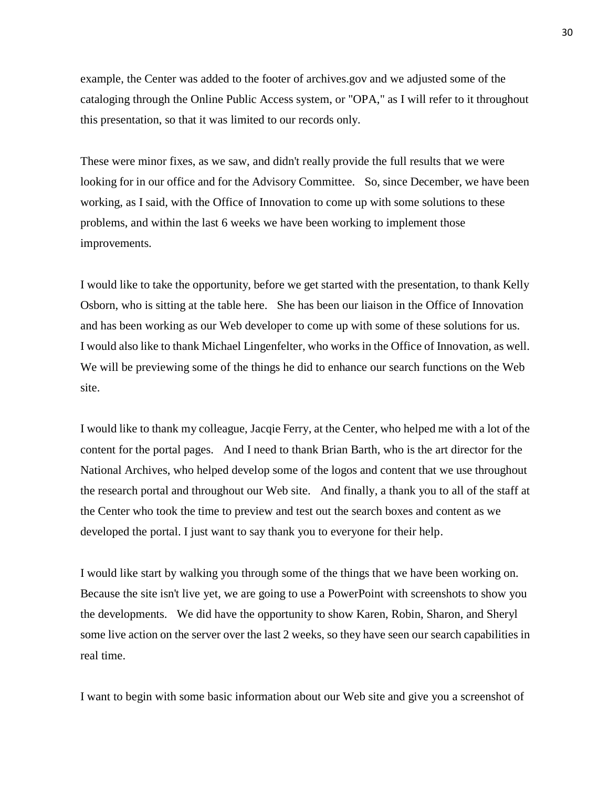example, the Center was added to the footer of archives.gov and we adjusted some of the cataloging through the Online Public Access system, or "OPA," as I will refer to it throughout this presentation, so that it was limited to our records only.

These were minor fixes, as we saw, and didn't really provide the full results that we were looking for in our office and for the Advisory Committee. So, since December, we have been working, as I said, with the Office of Innovation to come up with some solutions to these problems, and within the last 6 weeks we have been working to implement those improvements.

I would like to take the opportunity, before we get started with the presentation, to thank Kelly Osborn, who is sitting at the table here. She has been our liaison in the Office of Innovation and has been working as our Web developer to come up with some of these solutions for us. I would also like to thank Michael Lingenfelter, who works in the Office of Innovation, as well. We will be previewing some of the things he did to enhance our search functions on the Web site.

I would like to thank my colleague, Jacqie Ferry, at the Center, who helped me with a lot of the content for the portal pages. And I need to thank Brian Barth, who is the art director for the National Archives, who helped develop some of the logos and content that we use throughout the research portal and throughout our Web site. And finally, a thank you to all of the staff at the Center who took the time to preview and test out the search boxes and content as we developed the portal. I just want to say thank you to everyone for their help.

I would like start by walking you through some of the things that we have been working on. Because the site isn't live yet, we are going to use a PowerPoint with screenshots to show you the developments. We did have the opportunity to show Karen, Robin, Sharon, and Sheryl some live action on the server over the last 2 weeks, so they have seen our search capabilities in real time.

I want to begin with some basic information about our Web site and give you a screenshot of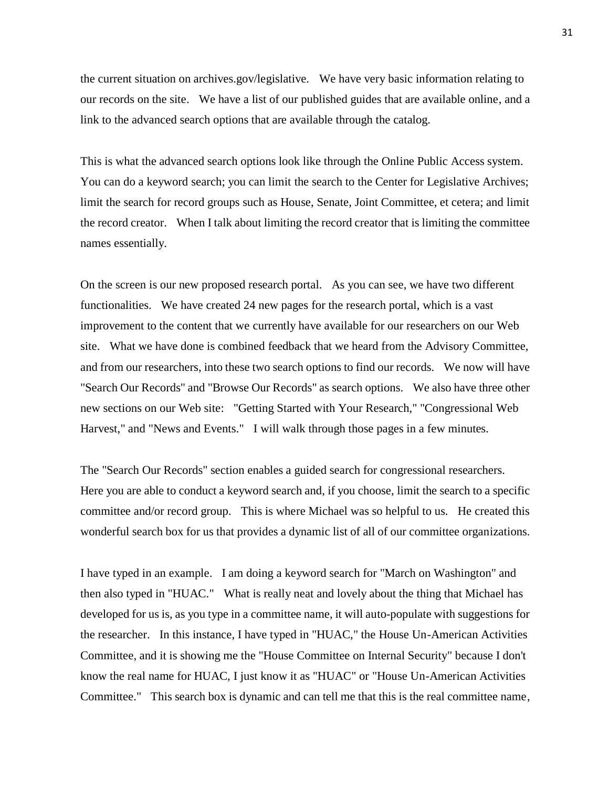the current situation on archives.gov/legislative. We have very basic information relating to our records on the site. We have a list of our published guides that are available online, and a link to the advanced search options that are available through the catalog.

This is what the advanced search options look like through the Online Public Access system. You can do a keyword search; you can limit the search to the Center for Legislative Archives; limit the search for record groups such as House, Senate, Joint Committee, et cetera; and limit the record creator. When I talk about limiting the record creator that is limiting the committee names essentially.

On the screen is our new proposed research portal. As you can see, we have two different functionalities. We have created 24 new pages for the research portal, which is a vast improvement to the content that we currently have available for our researchers on our Web site. What we have done is combined feedback that we heard from the Advisory Committee, and from our researchers, into these two search options to find our records. We now will have "Search Our Records" and "Browse Our Records" as search options. We also have three other new sections on our Web site: "Getting Started with Your Research," "Congressional Web Harvest," and "News and Events." I will walk through those pages in a few minutes.

The "Search Our Records" section enables a guided search for congressional researchers. Here you are able to conduct a keyword search and, if you choose, limit the search to a specific committee and/or record group. This is where Michael was so helpful to us. He created this wonderful search box for us that provides a dynamic list of all of our committee organizations.

I have typed in an example. I am doing a keyword search for "March on Washington" and then also typed in "HUAC." What is really neat and lovely about the thing that Michael has developed for us is, as you type in a committee name, it will auto-populate with suggestions for the researcher. In this instance, I have typed in "HUAC," the House Un-American Activities Committee, and it is showing me the "House Committee on Internal Security" because I don't know the real name for HUAC, I just know it as "HUAC" or "House Un-American Activities Committee." This search box is dynamic and can tell me that this is the real committee name,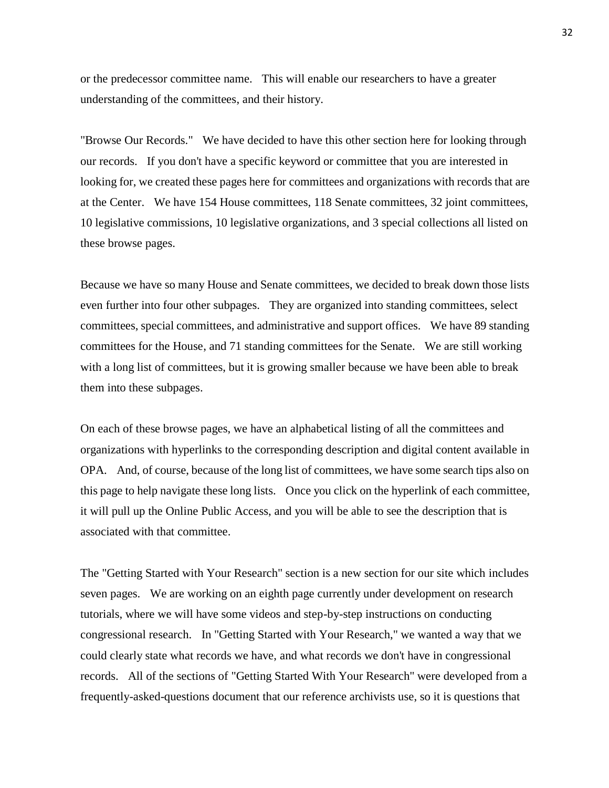or the predecessor committee name. This will enable our researchers to have a greater understanding of the committees, and their history.

"Browse Our Records." We have decided to have this other section here for looking through our records. If you don't have a specific keyword or committee that you are interested in looking for, we created these pages here for committees and organizations with records that are at the Center. We have 154 House committees, 118 Senate committees, 32 joint committees, 10 legislative commissions, 10 legislative organizations, and 3 special collections all listed on these browse pages.

Because we have so many House and Senate committees, we decided to break down those lists even further into four other subpages. They are organized into standing committees, select committees, special committees, and administrative and support offices. We have 89 standing committees for the House, and 71 standing committees for the Senate. We are still working with a long list of committees, but it is growing smaller because we have been able to break them into these subpages.

On each of these browse pages, we have an alphabetical listing of all the committees and organizations with hyperlinks to the corresponding description and digital content available in OPA. And, of course, because of the long list of committees, we have some search tips also on this page to help navigate these long lists. Once you click on the hyperlink of each committee, it will pull up the Online Public Access, and you will be able to see the description that is associated with that committee.

The "Getting Started with Your Research" section is a new section for our site which includes seven pages. We are working on an eighth page currently under development on research tutorials, where we will have some videos and step-by-step instructions on conducting congressional research. In "Getting Started with Your Research," we wanted a way that we could clearly state what records we have, and what records we don't have in congressional records. All of the sections of "Getting Started With Your Research" were developed from a frequently-asked-questions document that our reference archivists use, so it is questions that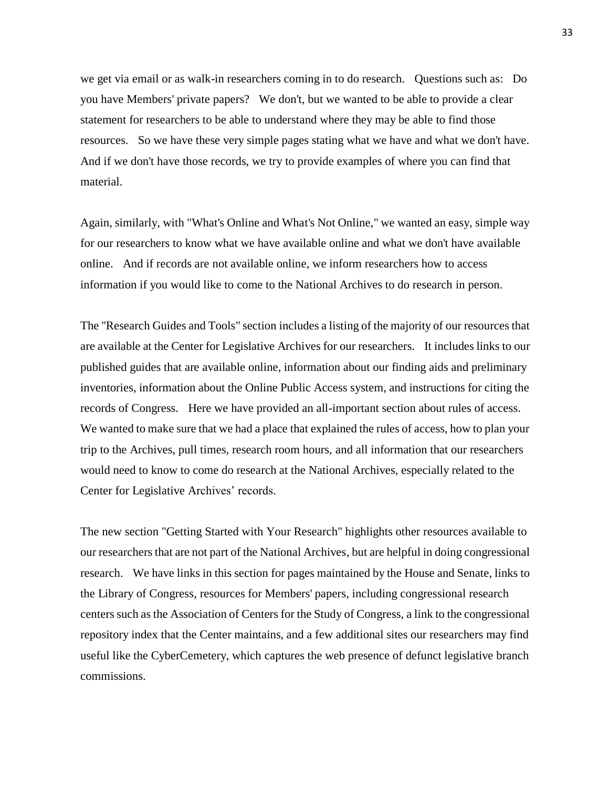we get via email or as walk-in researchers coming in to do research. Questions such as: Do you have Members' private papers? We don't, but we wanted to be able to provide a clear statement for researchers to be able to understand where they may be able to find those resources. So we have these very simple pages stating what we have and what we don't have. And if we don't have those records, we try to provide examples of where you can find that material.

Again, similarly, with "What's Online and What's Not Online," we wanted an easy, simple way for our researchers to know what we have available online and what we don't have available online. And if records are not available online, we inform researchers how to access information if you would like to come to the National Archives to do research in person.

The "Research Guides and Tools" section includes a listing of the majority of our resources that are available at the Center for Legislative Archives for our researchers. It includes links to our published guides that are available online, information about our finding aids and preliminary inventories, information about the Online Public Access system, and instructions for citing the records of Congress. Here we have provided an all-important section about rules of access. We wanted to make sure that we had a place that explained the rules of access, how to plan your trip to the Archives, pull times, research room hours, and all information that our researchers would need to know to come do research at the National Archives, especially related to the Center for Legislative Archives' records.

The new section "Getting Started with Your Research" highlights other resources available to our researchers that are not part of the National Archives, but are helpful in doing congressional research. We have links in this section for pages maintained by the House and Senate, links to the Library of Congress, resources for Members' papers, including congressional research centers such as the Association of Centers for the Study of Congress, a link to the congressional repository index that the Center maintains, and a few additional sites our researchers may find useful like the CyberCemetery, which captures the web presence of defunct legislative branch commissions.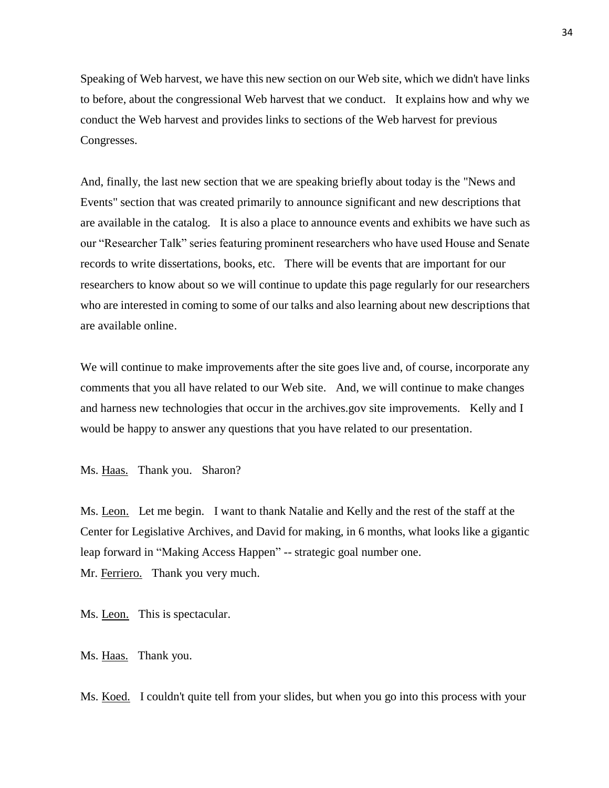Speaking of Web harvest, we have this new section on our Web site, which we didn't have links to before, about the congressional Web harvest that we conduct. It explains how and why we conduct the Web harvest and provides links to sections of the Web harvest for previous Congresses.

And, finally, the last new section that we are speaking briefly about today is the "News and Events" section that was created primarily to announce significant and new descriptions that are available in the catalog. It is also a place to announce events and exhibits we have such as our "Researcher Talk" series featuring prominent researchers who have used House and Senate records to write dissertations, books, etc. There will be events that are important for our researchers to know about so we will continue to update this page regularly for our researchers who are interested in coming to some of our talks and also learning about new descriptions that are available online.

We will continue to make improvements after the site goes live and, of course, incorporate any comments that you all have related to our Web site. And, we will continue to make changes and harness new technologies that occur in the archives.gov site improvements. Kelly and I would be happy to answer any questions that you have related to our presentation.

Ms. Haas. Thank you. Sharon?

Ms. Leon. Let me begin. I want to thank Natalie and Kelly and the rest of the staff at the Center for Legislative Archives, and David for making, in 6 months, what looks like a gigantic leap forward in "Making Access Happen" -- strategic goal number one. Mr. Ferriero. Thank you very much.

Ms. Leon. This is spectacular.

Ms. Haas. Thank you.

Ms. Koed. I couldn't quite tell from your slides, but when you go into this process with your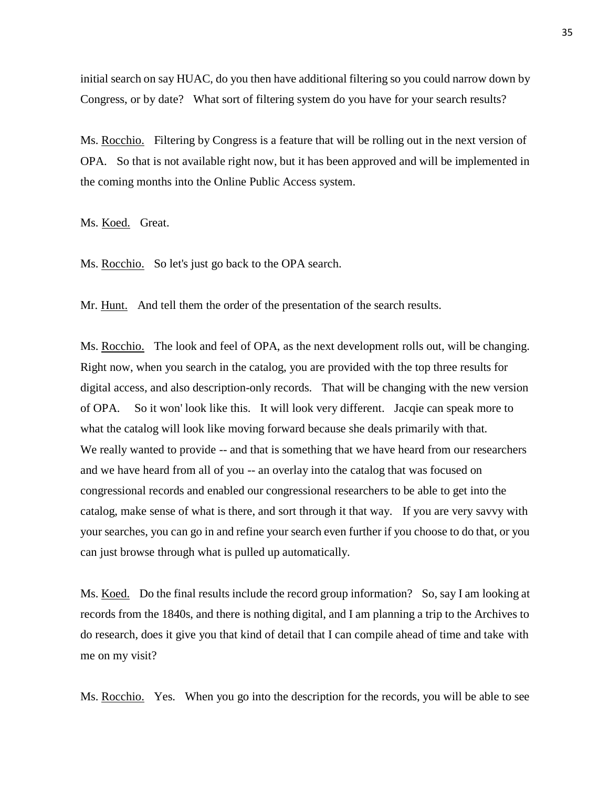initial search on say HUAC, do you then have additional filtering so you could narrow down by Congress, or by date? What sort of filtering system do you have for your search results?

Ms. Rocchio. Filtering by Congress is a feature that will be rolling out in the next version of OPA. So that is not available right now, but it has been approved and will be implemented in the coming months into the Online Public Access system.

Ms. Koed. Great.

Ms. Rocchio. So let's just go back to the OPA search.

Mr. Hunt. And tell them the order of the presentation of the search results.

Ms. Rocchio. The look and feel of OPA, as the next development rolls out, will be changing. Right now, when you search in the catalog, you are provided with the top three results for digital access, and also description-only records. That will be changing with the new version of OPA. So it won' look like this. It will look very different. Jacqie can speak more to what the catalog will look like moving forward because she deals primarily with that. We really wanted to provide  $-$ - and that is something that we have heard from our researchers and we have heard from all of you -- an overlay into the catalog that was focused on congressional records and enabled our congressional researchers to be able to get into the catalog, make sense of what is there, and sort through it that way. If you are very savvy with your searches, you can go in and refine your search even further if you choose to do that, or you can just browse through what is pulled up automatically.

Ms. Koed. Do the final results include the record group information? So, say I am looking at records from the 1840s, and there is nothing digital, and I am planning a trip to the Archives to do research, does it give you that kind of detail that I can compile ahead of time and take with me on my visit?

Ms. Rocchio. Yes. When you go into the description for the records, you will be able to see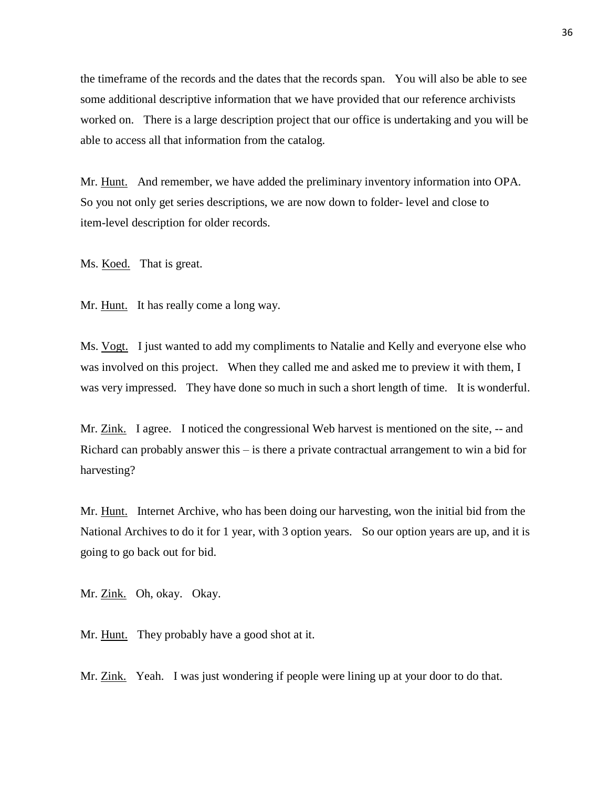the timeframe of the records and the dates that the records span. You will also be able to see some additional descriptive information that we have provided that our reference archivists worked on. There is a large description project that our office is undertaking and you will be able to access all that information from the catalog.

Mr. Hunt. And remember, we have added the preliminary inventory information into OPA. So you not only get series descriptions, we are now down to folder- level and close to item-level description for older records.

Ms. Koed. That is great.

Mr. Hunt. It has really come a long way.

Ms. Vogt. I just wanted to add my compliments to Natalie and Kelly and everyone else who was involved on this project. When they called me and asked me to preview it with them, I was very impressed. They have done so much in such a short length of time. It is wonderful.

Mr. Zink. I agree. I noticed the congressional Web harvest is mentioned on the site, -- and Richard can probably answer this – is there a private contractual arrangement to win a bid for harvesting?

Mr. Hunt. Internet Archive, who has been doing our harvesting, won the initial bid from the National Archives to do it for 1 year, with 3 option years. So our option years are up, and it is going to go back out for bid.

Mr. Zink. Oh, okay. Okay.

Mr. Hunt. They probably have a good shot at it.

Mr. Zink. Yeah. I was just wondering if people were lining up at your door to do that.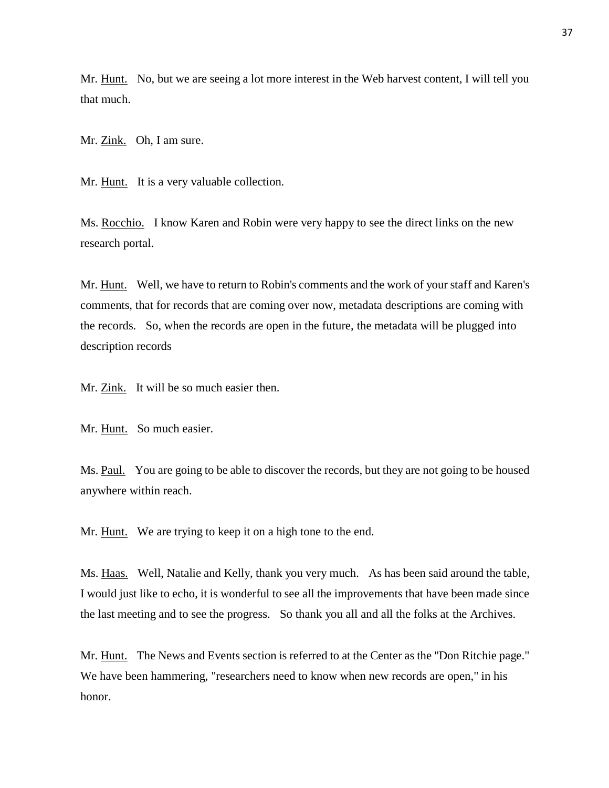Mr. Hunt. No, but we are seeing a lot more interest in the Web harvest content, I will tell you that much.

Mr. Zink. Oh, I am sure.

Mr. Hunt. It is a very valuable collection.

Ms. Rocchio. I know Karen and Robin were very happy to see the direct links on the new research portal.

Mr. Hunt. Well, we have to return to Robin's comments and the work of your staff and Karen's comments, that for records that are coming over now, metadata descriptions are coming with the records. So, when the records are open in the future, the metadata will be plugged into description records

Mr. Zink. It will be so much easier then.

Mr. Hunt. So much easier.

Ms. Paul. You are going to be able to discover the records, but they are not going to be housed anywhere within reach.

Mr. Hunt. We are trying to keep it on a high tone to the end.

Ms. Haas. Well, Natalie and Kelly, thank you very much. As has been said around the table, I would just like to echo, it is wonderful to see all the improvements that have been made since the last meeting and to see the progress. So thank you all and all the folks at the Archives.

Mr. Hunt. The News and Events section is referred to at the Center as the "Don Ritchie page." We have been hammering, "researchers need to know when new records are open," in his honor.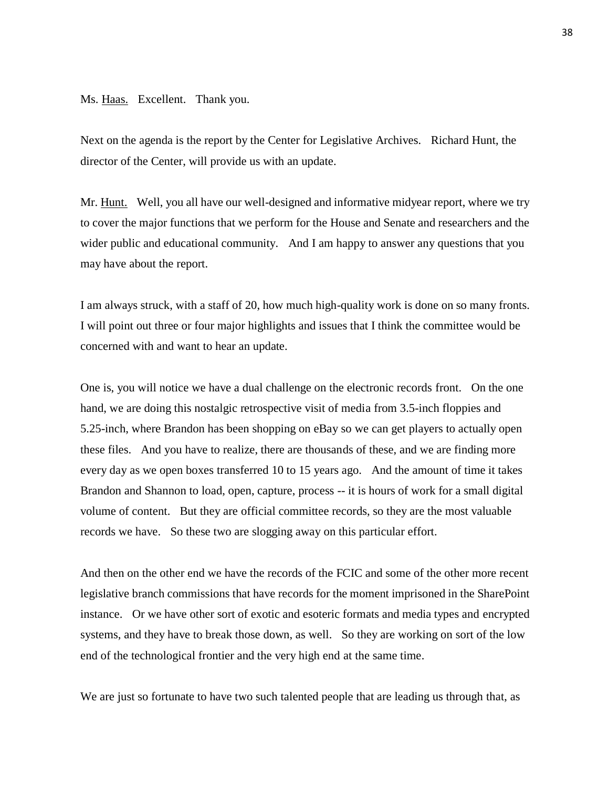Ms. Haas. Excellent. Thank you.

Next on the agenda is the report by the Center for Legislative Archives. Richard Hunt, the director of the Center, will provide us with an update.

Mr. Hunt. Well, you all have our well-designed and informative midyear report, where we try to cover the major functions that we perform for the House and Senate and researchers and the wider public and educational community. And I am happy to answer any questions that you may have about the report.

I am always struck, with a staff of 20, how much high-quality work is done on so many fronts. I will point out three or four major highlights and issues that I think the committee would be concerned with and want to hear an update.

One is, you will notice we have a dual challenge on the electronic records front. On the one hand, we are doing this nostalgic retrospective visit of media from 3.5-inch floppies and 5.25-inch, where Brandon has been shopping on eBay so we can get players to actually open these files. And you have to realize, there are thousands of these, and we are finding more every day as we open boxes transferred 10 to 15 years ago. And the amount of time it takes Brandon and Shannon to load, open, capture, process -- it is hours of work for a small digital volume of content. But they are official committee records, so they are the most valuable records we have. So these two are slogging away on this particular effort.

And then on the other end we have the records of the FCIC and some of the other more recent legislative branch commissions that have records for the moment imprisoned in the SharePoint instance. Or we have other sort of exotic and esoteric formats and media types and encrypted systems, and they have to break those down, as well. So they are working on sort of the low end of the technological frontier and the very high end at the same time.

We are just so fortunate to have two such talented people that are leading us through that, as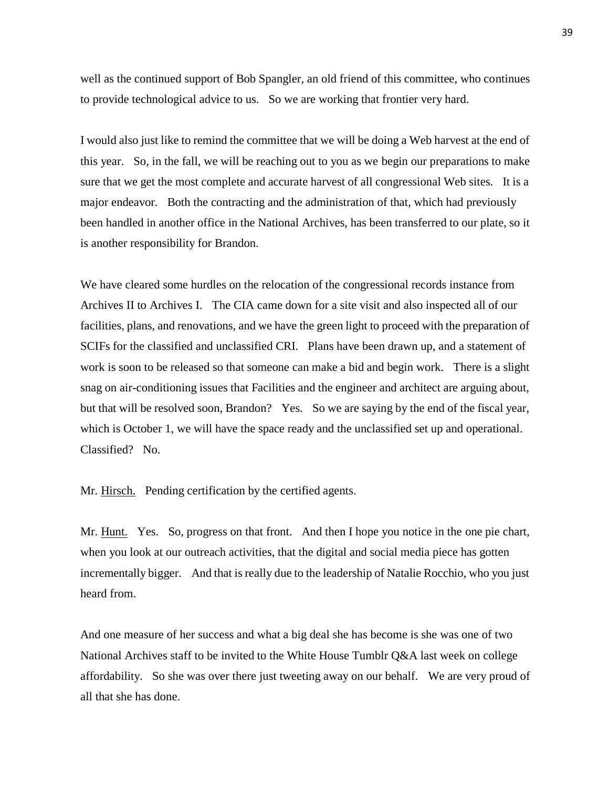well as the continued support of Bob Spangler, an old friend of this committee, who continues to provide technological advice to us. So we are working that frontier very hard.

I would also just like to remind the committee that we will be doing a Web harvest at the end of this year. So, in the fall, we will be reaching out to you as we begin our preparations to make sure that we get the most complete and accurate harvest of all congressional Web sites. It is a major endeavor. Both the contracting and the administration of that, which had previously been handled in another office in the National Archives, has been transferred to our plate, so it is another responsibility for Brandon.

We have cleared some hurdles on the relocation of the congressional records instance from Archives II to Archives I. The CIA came down for a site visit and also inspected all of our facilities, plans, and renovations, and we have the green light to proceed with the preparation of SCIFs for the classified and unclassified CRI. Plans have been drawn up, and a statement of work is soon to be released so that someone can make a bid and begin work. There is a slight snag on air-conditioning issues that Facilities and the engineer and architect are arguing about, but that will be resolved soon, Brandon? Yes. So we are saying by the end of the fiscal year, which is October 1, we will have the space ready and the unclassified set up and operational. Classified? No.

Mr. Hirsch. Pending certification by the certified agents.

Mr. Hunt. Yes. So, progress on that front. And then I hope you notice in the one pie chart, when you look at our outreach activities, that the digital and social media piece has gotten incrementally bigger. And that is really due to the leadership of Natalie Rocchio, who you just heard from.

And one measure of her success and what a big deal she has become is she was one of two National Archives staff to be invited to the White House Tumblr Q&A last week on college affordability. So she was over there just tweeting away on our behalf. We are very proud of all that she has done.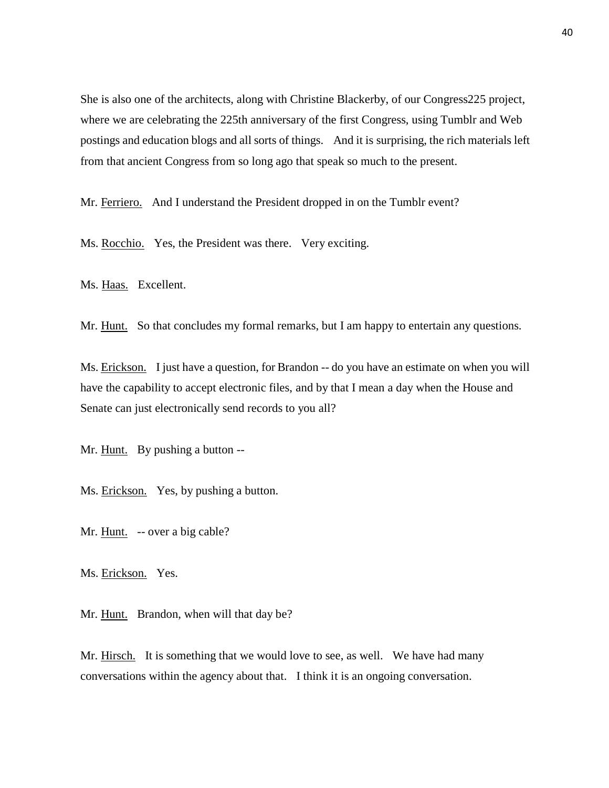She is also one of the architects, along with Christine Blackerby, of our Congress225 project, where we are celebrating the 225th anniversary of the first Congress, using Tumblr and Web postings and education blogs and all sorts of things. And it is surprising, the rich materials left from that ancient Congress from so long ago that speak so much to the present.

Mr. Ferriero. And I understand the President dropped in on the Tumblr event?

Ms. Rocchio. Yes, the President was there. Very exciting.

Ms. Haas. Excellent.

Mr. Hunt. So that concludes my formal remarks, but I am happy to entertain any questions.

Ms. Erickson. I just have a question, for Brandon -- do you have an estimate on when you will have the capability to accept electronic files, and by that I mean a day when the House and Senate can just electronically send records to you all?

Mr. Hunt. By pushing a button --

Ms. Erickson. Yes, by pushing a button.

Mr. Hunt. -- over a big cable?

Ms. Erickson. Yes.

Mr. Hunt. Brandon, when will that day be?

Mr. Hirsch. It is something that we would love to see, as well. We have had many conversations within the agency about that. I think it is an ongoing conversation.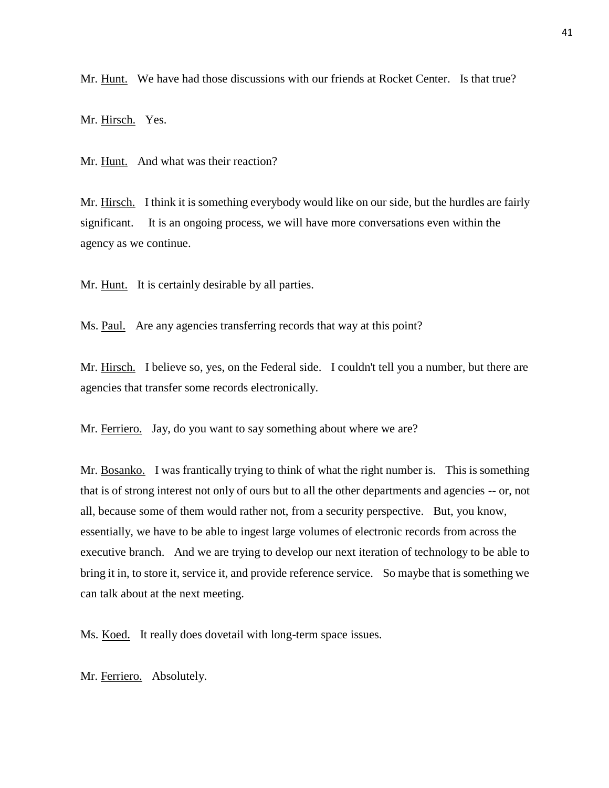Mr. Hunt. We have had those discussions with our friends at Rocket Center. Is that true?

Mr. Hirsch. Yes.

Mr. Hunt. And what was their reaction?

Mr. Hirsch. I think it is something everybody would like on our side, but the hurdles are fairly significant. It is an ongoing process, we will have more conversations even within the agency as we continue.

Mr. Hunt. It is certainly desirable by all parties.

Ms. <u>Paul.</u> Are any agencies transferring records that way at this point?

Mr. Hirsch. I believe so, yes, on the Federal side. I couldn't tell you a number, but there are agencies that transfer some records electronically.

Mr. Ferriero. Jay, do you want to say something about where we are?

Mr. Bosanko. I was frantically trying to think of what the right number is. This is something that is of strong interest not only of ours but to all the other departments and agencies -- or, not all, because some of them would rather not, from a security perspective. But, you know, essentially, we have to be able to ingest large volumes of electronic records from across the executive branch. And we are trying to develop our next iteration of technology to be able to bring it in, to store it, service it, and provide reference service. So maybe that is something we can talk about at the next meeting.

Ms. Koed. It really does dovetail with long-term space issues.

Mr. Ferriero. Absolutely.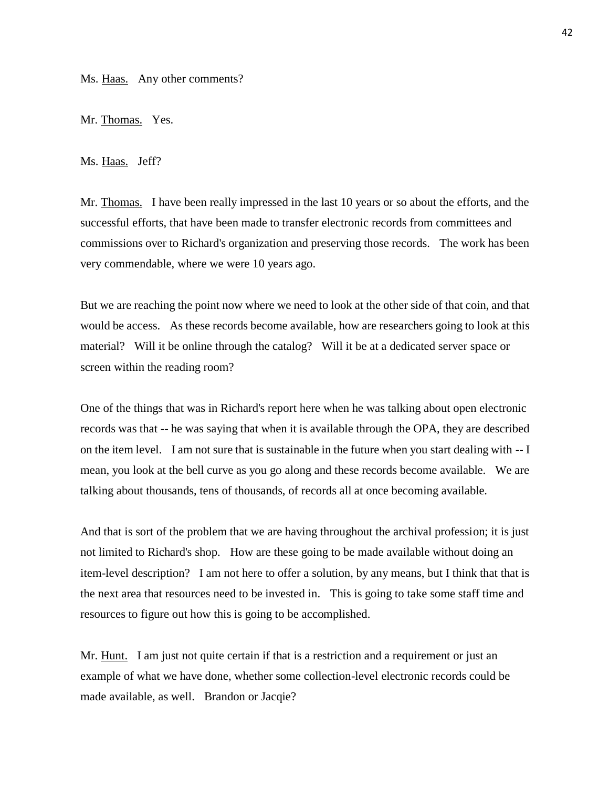Ms. Haas. Any other comments?

Mr. Thomas. Yes.

Ms. Haas. Jeff?

Mr. Thomas. I have been really impressed in the last 10 years or so about the efforts, and the successful efforts, that have been made to transfer electronic records from committees and commissions over to Richard's organization and preserving those records. The work has been very commendable, where we were 10 years ago.

But we are reaching the point now where we need to look at the other side of that coin, and that would be access. As these records become available, how are researchers going to look at this material? Will it be online through the catalog? Will it be at a dedicated server space or screen within the reading room?

One of the things that was in Richard's report here when he was talking about open electronic records was that -- he was saying that when it is available through the OPA, they are described on the item level. I am not sure that is sustainable in the future when you start dealing with -- I mean, you look at the bell curve as you go along and these records become available. We are talking about thousands, tens of thousands, of records all at once becoming available.

And that is sort of the problem that we are having throughout the archival profession; it is just not limited to Richard's shop. How are these going to be made available without doing an item-level description? I am not here to offer a solution, by any means, but I think that that is the next area that resources need to be invested in. This is going to take some staff time and resources to figure out how this is going to be accomplished.

Mr. Hunt. I am just not quite certain if that is a restriction and a requirement or just an example of what we have done, whether some collection-level electronic records could be made available, as well. Brandon or Jacqie?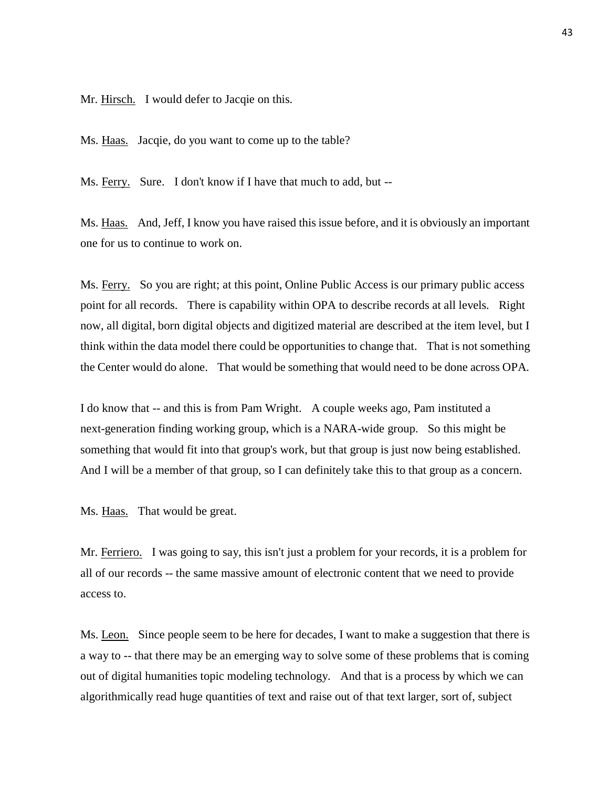Mr. Hirsch. I would defer to Jacqie on this.

Ms. Haas. Jacqie, do you want to come up to the table?

Ms. Ferry. Sure. I don't know if I have that much to add, but --

Ms. Haas. And, Jeff, I know you have raised this issue before, and it is obviously an important one for us to continue to work on.

Ms. Ferry. So you are right; at this point, Online Public Access is our primary public access point for all records. There is capability within OPA to describe records at all levels. Right now, all digital, born digital objects and digitized material are described at the item level, but I think within the data model there could be opportunities to change that. That is not something the Center would do alone. That would be something that would need to be done across OPA.

I do know that -- and this is from Pam Wright. A couple weeks ago, Pam instituted a next-generation finding working group, which is a NARA-wide group. So this might be something that would fit into that group's work, but that group is just now being established. And I will be a member of that group, so I can definitely take this to that group as a concern.

Ms. Haas. That would be great.

Mr. Ferriero. I was going to say, this isn't just a problem for your records, it is a problem for all of our records -- the same massive amount of electronic content that we need to provide access to.

Ms. Leon. Since people seem to be here for decades, I want to make a suggestion that there is a way to -- that there may be an emerging way to solve some of these problems that is coming out of digital humanities topic modeling technology. And that is a process by which we can algorithmically read huge quantities of text and raise out of that text larger, sort of, subject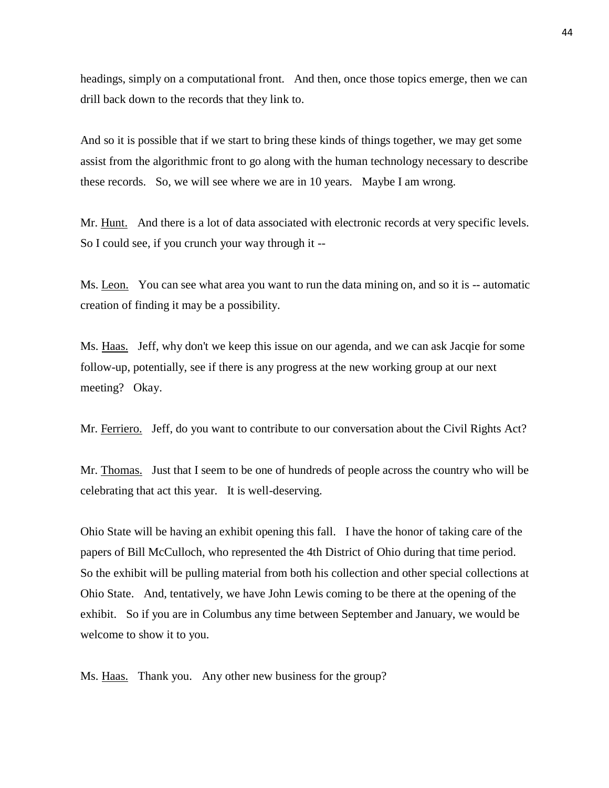headings, simply on a computational front. And then, once those topics emerge, then we can drill back down to the records that they link to.

And so it is possible that if we start to bring these kinds of things together, we may get some assist from the algorithmic front to go along with the human technology necessary to describe these records. So, we will see where we are in 10 years. Maybe I am wrong.

Mr. Hunt. And there is a lot of data associated with electronic records at very specific levels. So I could see, if you crunch your way through it --

Ms. Leon. You can see what area you want to run the data mining on, and so it is -- automatic creation of finding it may be a possibility.

Ms. Haas. Jeff, why don't we keep this issue on our agenda, and we can ask Jacqie for some follow-up, potentially, see if there is any progress at the new working group at our next meeting? Okay.

Mr. Ferriero. Jeff, do you want to contribute to our conversation about the Civil Rights Act?

Mr. Thomas. Just that I seem to be one of hundreds of people across the country who will be celebrating that act this year. It is well-deserving.

Ohio State will be having an exhibit opening this fall. I have the honor of taking care of the papers of Bill McCulloch, who represented the 4th District of Ohio during that time period. So the exhibit will be pulling material from both his collection and other special collections at Ohio State. And, tentatively, we have John Lewis coming to be there at the opening of the exhibit. So if you are in Columbus any time between September and January, we would be welcome to show it to you.

Ms. Haas. Thank you. Any other new business for the group?